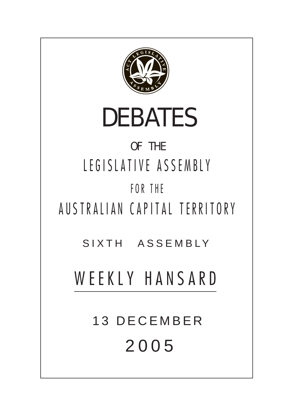

# OF THE LEGISLATIVE ASSEMBLY FOR THE

AUSTRALIAN CAPITAL TERRITORY

SIXTH ASSEMBLY

# WEEKLY HANSARD

13 DECEMBER 200 5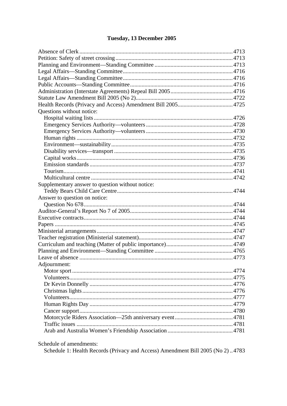# Tuesday, 13 December 2005

| Questions without notice:                        |  |
|--------------------------------------------------|--|
|                                                  |  |
|                                                  |  |
|                                                  |  |
|                                                  |  |
|                                                  |  |
|                                                  |  |
|                                                  |  |
|                                                  |  |
|                                                  |  |
|                                                  |  |
| Supplementary answer to question without notice: |  |
|                                                  |  |
| Answer to question on notice:                    |  |
|                                                  |  |
|                                                  |  |
|                                                  |  |
|                                                  |  |
|                                                  |  |
|                                                  |  |
|                                                  |  |
|                                                  |  |
|                                                  |  |
| Adjournment:                                     |  |
|                                                  |  |
|                                                  |  |
|                                                  |  |
|                                                  |  |
|                                                  |  |
|                                                  |  |
|                                                  |  |
|                                                  |  |
|                                                  |  |
|                                                  |  |

Schedule of amendments:

Schedule 1: Health Records (Privacy and Access) Amendment Bill 2005 (No 2)..4783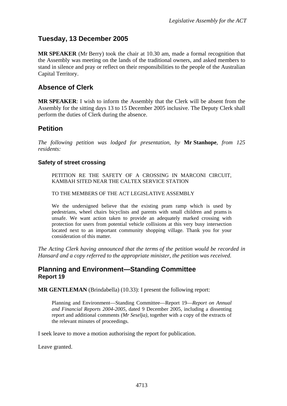# <span id="page-2-0"></span>**Tuesday, 13 December 2005**

**MR SPEAKER** (Mr Berry) took the chair at 10.30 am, made a formal recognition that the Assembly was meeting on the lands of the traditional owners, and asked members to stand in silence and pray or reflect on their responsibilities to the people of the Australian Capital Territory.

## **Absence of Clerk**

**MR SPEAKER**: I wish to inform the Assembly that the Clerk will be absent from the Assembly for the sitting days 13 to 15 December 2005 inclusive. The Deputy Clerk shall perform the duties of Clerk during the absence.

# **Petition**

*The following petition was lodged for presentation, by* **Mr Stanhope**, *from 125 residents:* 

## **Safety of street crossing**

PETITION RE THE SAFETY OF A CROSSING IN MARCONI CIRCUIT, KAMBAH SITED NEAR THE CALTEX SERVICE STATION

TO THE MEMBERS OF THE ACT LEGISLATIVE ASSEMBLY

We the undersigned believe that the existing pram ramp which is used by pedestrians, wheel chairs bicyclists and parents with small children and prams is unsafe. We want action taken to provide an adequately marked crossing with protection for users from potential vehicle collisions at this very busy intersection located next to an important community shopping village. Thank you for your consideration of this matter.

*The Acting Clerk having announced that the terms of the petition would be recorded in Hansard and a copy referred to the appropriate minister, the petition was received.* 

## **Planning and Environment—Standing Committee Report 19**

**MR GENTLEMAN** (Brindabella) (10.33): I present the following report:

Planning and Environment—Standing Committee—Report 19—*Report on Annual and Financial Reports 2004-2005,* dated 9 December 2005, including a dissenting report and additional comments *(Mr Seselja)*, together with a copy of the extracts of the relevant minutes of proceedings.

I seek leave to move a motion authorising the report for publication.

Leave granted.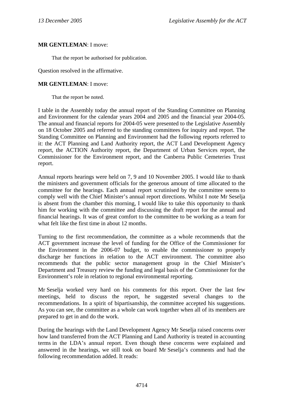#### **MR GENTLEMAN**: I move:

That the report be authorised for publication.

Question resolved in the affirmative.

#### **MR GENTLEMAN**: I move:

That the report be noted.

I table in the Assembly today the annual report of the Standing Committee on Planning and Environment for the calendar years 2004 and 2005 and the financial year 2004-05. The annual and financial reports for 2004-05 were presented to the Legislative Assembly on 18 October 2005 and referred to the standing committees for inquiry and report. The Standing Committee on Planning and Environment had the following reports referred to it: the ACT Planning and Land Authority report, the ACT Land Development Agency report, the ACTION Authority report, the Department of Urban Services report, the Commissioner for the Environment report, and the Canberra Public Cemeteries Trust report.

Annual reports hearings were held on 7, 9 and 10 November 2005. I would like to thank the ministers and government officials for the generous amount of time allocated to the committee for the hearings. Each annual report scrutinised by the committee seems to comply well with the Chief Minister's annual report directions. Whilst I note Mr Seselja is absent from the chamber this morning, I would like to take this opportunity to thank him for working with the committee and discussing the draft report for the annual and financial hearings. It was of great comfort to the committee to be working as a team for what felt like the first time in about 12 months.

Turning to the first recommendation, the committee as a whole recommends that the ACT government increase the level of funding for the Office of the Commissioner for the Environment in the 2006-07 budget, to enable the commissioner to properly discharge her functions in relation to the ACT environment. The committee also recommends that the public sector management group in the Chief Minister's Department and Treasury review the funding and legal basis of the Commissioner for the Environment's role in relation to regional environmental reporting.

Mr Seselja worked very hard on his comments for this report. Over the last few meetings, held to discuss the report, he suggested several changes to the recommendations. In a spirit of bipartisanship, the committee accepted his suggestions. As you can see, the committee as a whole can work together when all of its members are prepared to get in and do the work.

During the hearings with the Land Development Agency Mr Seselja raised concerns over how land transferred from the ACT Planning and Land Authority is treated in accounting terms in the LDA's annual report. Even though these concerns were explained and answered in the hearings, we still took on board Mr Seselja's comments and had the following recommendation added. It reads: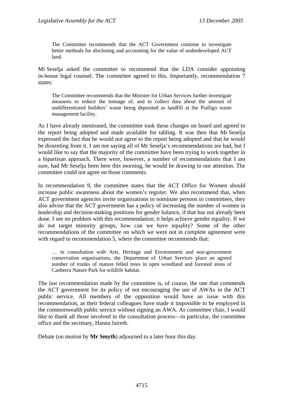The Committee recommends that the ACT Government continue to investigate better methods for disclosing and accounting for the value of underdeveloped ACT land.

Mr Seselja asked the committee to recommend that the LDA consider appointing in-house legal counsel. The committee agreed to this. Importantly, recommendation 7 states:

The Committee recommends that the Minister for Urban Services further investigate measures to reduce the tonnage of, and to collect data about the amount of undifferentiated builders' waste being deposited as landfill at the Pialligo waste management facility.

As I have already mentioned, the committee took these changes on board and agreed to the report being adopted and made available for tabling. It was then that Mr Seselja expressed the fact that he would not agree to the report being adopted and that he would be dissenting from it. I am not saying all of Mr Seselja's recommendations are bad, but I would like to say that the majority of the committee have been trying to work together in a bipartisan approach. There were, however, a number of recommendations that I am sure, had Mr Seselja been here this morning, he would be drawing to our attention. The committee could not agree on those comments.

In recommendation 9, the committee states that the ACT Office for Women should increase public awareness about the women's register. We also recommend that, when ACT government agencies invite organisations to nominate persons to committees, they also advise that the ACT government has a policy of increasing the number of women in leadership and decision-making positions for gender balance, if that has not already been done. I see no problem with this recommendation; it helps achieve gender equality. If we do not target minority groups, how can we have equality? Some of the other recommendations of the committee on which we were not in complete agreement were with regard to recommendation 5, where the committee recommends that:

… in consultation with Arts, Heritage and Environment and non-government conservation organisations, the Department of Urban Services place an agreed number of trunks of mature felled trees in open woodland and forested areas of Canberra Nature Park for wildlife habitat.

The last recommendation made by the committee is, of course, the one that commends the ACT government for its policy of not encouraging the use of AWAs in the ACT public service. All members of the opposition would have an issue with this recommendation, as their federal colleagues have made it impossible to be employed in the commonwealth public service without signing an AWA. As committee chair, I would like to thank all those involved in the consultation process—in particular, the committee office and the secretary, Hanna Jaireth.

Debate (on motion by **Mr Smyth**) adjourned to a later hour this day.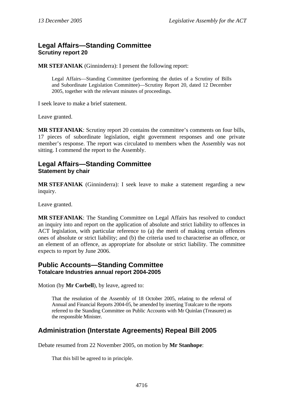# <span id="page-5-0"></span>**Legal Affairs—Standing Committee Scrutiny report 20**

**MR STEFANIAK** (Ginninderra): I present the following report:

Legal Affairs—Standing Committee (performing the duties of a Scrutiny of Bills and Subordinate Legislation Committee)—Scrutiny Report 20*,* dated 12 December 2005, together with the relevant minutes of proceedings.

I seek leave to make a brief statement.

Leave granted.

**MR STEFANIAK**: Scrutiny report 20 contains the committee's comments on four bills, 17 pieces of subordinate legislation, eight government responses and one private member's response. The report was circulated to members when the Assembly was not sitting. I commend the report to the Assembly.

## **Legal Affairs—Standing Committee Statement by chair**

**MR STEFANIAK** (Ginninderra): I seek leave to make a statement regarding a new inquiry.

Leave granted.

**MR STEFANIAK**: The Standing Committee on Legal Affairs has resolved to conduct an inquiry into and report on the application of absolute and strict liability to offences in ACT legislation, with particular reference to (a) the merit of making certain offences ones of absolute or strict liability; and (b) the criteria used to characterise an offence, or an element of an offence, as appropriate for absolute or strict liability. The committee expects to report by June 2006.

## **Public Accounts—Standing Committee Totalcare Industries annual report 2004-2005**

Motion (by **Mr Corbell**), by leave, agreed to:

That the resolution of the Assembly of 18 October 2005, relating to the referral of Annual and Financial Reports 2004-05, be amended by inserting Totalcare to the reports referred to the Standing Committee on Public Accounts with Mr Quinlan (Treasurer) as the responsible Minister.

# **Administration (Interstate Agreements) Repeal Bill 2005**

Debate resumed from 22 November 2005, on motion by **Mr Stanhope**:

That this bill be agreed to in principle.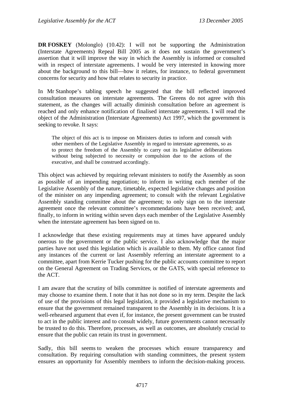**DR FOSKEY** (Molonglo) (10.42): I will not be supporting the Administration (Interstate Agreements) Repeal Bill 2005 as it does not sustain the government's assertion that it will improve the way in which the Assembly is informed or consulted with in respect of interstate agreements. I would be very interested in knowing more about the background to this bill—how it relates, for instance, to federal government concerns for security and how that relates to security in practice.

In Mr Stanhope's tabling speech he suggested that the bill reflected improved consultation measures on interstate agreements. The Greens do not agree with this statement, as the changes will actually diminish consultation before an agreement is reached and only enhance notification of finalised interstate agreements. I will read the object of the Administration (Interstate Agreements) Act 1997, which the government is seeking to revoke. It says:

The object of this act is to impose on Ministers duties to inform and consult with other members of the Legislative Assembly in regard to interstate agreements, so as to protect the freedom of the Assembly to carry out its legislative deliberations without being subjected to necessity or compulsion due to the actions of the executive, and shall be construed accordingly.

This object was achieved by requiring relevant ministers to notify the Assembly as soon as possible of an impending negotiation; to inform in writing each member of the Legislative Assembly of the nature, timetable, expected legislative changes and position of the minister on any impending agreement; to consult with the relevant Legislative Assembly standing committee about the agreement; to only sign on to the interstate agreement once the relevant committee's recommendations have been received; and, finally, to inform in writing within seven days each member of the Legislative Assembly when the interstate agreement has been signed on to.

I acknowledge that these existing requirements may at times have appeared unduly onerous to the government or the public service. I also acknowledge that the major parties have not used this legislation which is available to them. My office cannot find any instances of the current or last Assembly referring an interstate agreement to a committee, apart from Kerrie Tucker pushing for the public accounts committee to report on the General Agreement on Trading Services, or the GATS, with special reference to the ACT.

I am aware that the scrutiny of bills committee is notified of interstate agreements and may choose to examine them. I note that it has not done so in my term. Despite the lack of use of the provisions of this legal legislation, it provided a legislative mechanism to ensure that the government remained transparent to the Assembly in its decisions. It is a well-rehearsed argument that even if, for instance, the present government can be trusted to act in the public interest and to consult widely, future governments cannot necessarily be trusted to do this. Therefore, processes, as well as outcomes, are absolutely crucial to ensure that the public can retain its trust in government.

Sadly, this bill seems to weaken the processes which ensure transparency and consultation. By requiring consultation with standing committees, the present system ensures an opportunity for Assembly members to inform the decision-making process.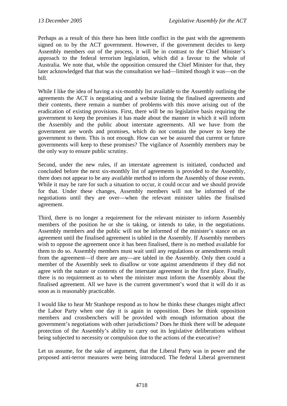Perhaps as a result of this there has been little conflict in the past with the agreements signed on to by the ACT government. However, if the government decides to keep Assembly members out of the process, it will be in contrast to the Chief Minister's approach to the federal terrorism legislation, which did a favour to the whole of Australia. We note that, while the opposition censured the Chief Minister for that, they later acknowledged that that was the consultation we had—limited though it was—on the bill.

While I like the idea of having a six-monthly list available to the Assembly outlining the agreements the ACT is negotiating and a website listing the finalised agreements and their contents, there remain a number of problems with this move arising out of the eradication of existing provisions. First, there will be no legislative basis requiring the government to keep the promises it has made about the manner in which it will inform the Assembly and the public about interstate agreements. All we have from the government are words and promises, which do not contain the power to keep the government to them. This is not enough. How can we be assured that current or future governments will keep to these promises? The vigilance of Assembly members may be the only way to ensure public scrutiny.

Second, under the new rules, if an interstate agreement is initiated, conducted and concluded before the next six-monthly list of agreements is provided to the Assembly, there does not appear to be any available method to inform the Assembly of those events. While it may be rare for such a situation to occur, it could occur and we should provide for that. Under these changes, Assembly members will not be informed of the negotiations until they are over—when the relevant minister tables the finalised agreement.

Third, there is no longer a requirement for the relevant minister to inform Assembly members of the position he or she is taking, or intends to take, in the negotiations. Assembly members and the public will not be informed of the minister's stance on an agreement until the finalised agreement is tabled in the Assembly. If Assembly members wish to oppose the agreement once it has been finalised, there is no method available for them to do so. Assembly members must wait until any regulations or amendments result from the agreement—if there are any—are tabled in the Assembly. Only then could a member of the Assembly seek to disallow or vote against amendments if they did not agree with the nature or contents of the interstate agreement in the first place. Finally, there is no requirement as to when the minister must inform the Assembly about the finalised agreement. All we have is the current government's word that it will do it as soon as is reasonably practicable.

I would like to hear Mr Stanhope respond as to how he thinks these changes might affect the Labor Party when one day it is again in opposition. Does he think opposition members and crossbenchers will be provided with enough information about the government's negotiations with other jurisdictions? Does he think there will be adequate protection of the Assembly's ability to carry out its legislative deliberations without being subjected to necessity or compulsion due to the actions of the executive?

Let us assume, for the sake of argument, that the Liberal Party was in power and the proposed anti-terror measures were being introduced. The federal Liberal government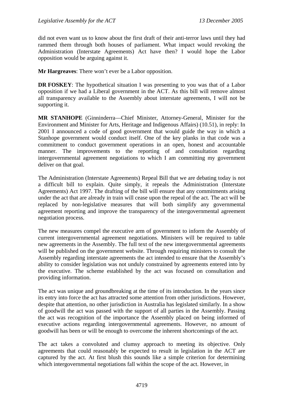did not even want us to know about the first draft of their anti-terror laws until they had rammed them through both houses of parliament. What impact would revoking the Administration (Interstate Agreements) Act have then? I would hope the Labor opposition would be arguing against it.

**Mr Hargreaves**: There won't ever be a Labor opposition.

**DR FOSKEY:** The hypothetical situation I was presenting to you was that of a Labor opposition if we had a Liberal government in the ACT. As this bill will remove almost all transparency available to the Assembly about interstate agreements, I will not be supporting it.

**MR STANHOPE** (Ginninderra—Chief Minister, Attorney-General, Minister for the Environment and Minister for Arts, Heritage and Indigenous Affairs) (10.51), in reply: In 2001 I announced a code of good government that would guide the way in which a Stanhope government would conduct itself. One of the key planks in that code was a commitment to conduct government operations in an open, honest and accountable manner. The improvements to the reporting of and consultation regarding intergovernmental agreement negotiations to which I am committing my government deliver on that goal.

The Administration (Interstate Agreements) Repeal Bill that we are debating today is not a difficult bill to explain. Quite simply, it repeals the Administration (Interstate Agreements) Act 1997. The drafting of the bill will ensure that any commitments arising under the act that are already in train will cease upon the repeal of the act. The act will be replaced by non-legislative measures that will both simplify any governmental agreement reporting and improve the transparency of the intergovernmental agreement negotiation process.

The new measures compel the executive arm of government to inform the Assembly of current intergovernmental agreement negotiations. Ministers will be required to table new agreements in the Assembly. The full text of the new intergovernmental agreements will be published on the government website. Through requiring ministers to consult the Assembly regarding interstate agreements the act intended to ensure that the Assembly's ability to consider legislation was not unduly constrained by agreements entered into by the executive. The scheme established by the act was focused on consultation and providing information.

The act was unique and groundbreaking at the time of its introduction. In the years since its entry into force the act has attracted some attention from other jurisdictions. However, despite that attention, no other jurisdiction in Australia has legislated similarly. In a show of goodwill the act was passed with the support of all parties in the Assembly. Passing the act was recognition of the importance the Assembly placed on being informed of executive actions regarding intergovernmental agreements. However, no amount of goodwill has been or will be enough to overcome the inherent shortcomings of the act.

The act takes a convoluted and clumsy approach to meeting its objective. Only agreements that could reasonably be expected to result in legislation in the ACT are captured by the act. At first blush this sounds like a simple criterion for determining which intergovernmental negotiations fall within the scope of the act. However, in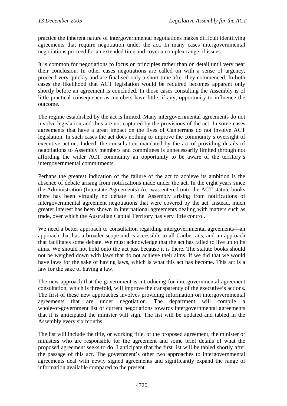practice the inherent nature of intergovernmental negotiations makes difficult identifying agreements that require negotiation under the act. In many cases intergovernmental negotiations proceed for an extended time and cover a complex range of issues.

It is common for negotiations to focus on principles rather than on detail until very near their conclusion. In other cases negotiations are called on with a sense of urgency, proceed very quickly and are finalised only a short time after they commenced. In both cases the likelihood that ACT legislation would be required becomes apparent only shortly before an agreement is concluded. In those cases consulting the Assembly is of little practical consequence as members have little, if any, opportunity to influence the outcome.

The regime established by the act is limited. Many intergovernmental agreements do not involve legislation and thus are not captured by the provisions of the act. In some cases agreements that have a great impact on the lives of Canberrans do not involve ACT legislation. In such cases the act does nothing to improve the community's oversight of executive action. Indeed, the consultation mandated by the act of providing details of negotiations to Assembly members and committees is unnecessarily limited through not affording the wider ACT community an opportunity to be aware of the territory's intergovernmental commitments.

Perhaps the greatest indication of the failure of the act to achieve its ambition is the absence of debate arising from notifications made under the act. In the eight years since the Administration (Interstate Agreements) Act was entered onto the ACT statute books there has been virtually no debate in the Assembly arising from notifications of intergovernmental agreement negotiations that were covered by the act. Instead, much greater interest has been shown in international agreements dealing with matters such as trade, over which the Australian Capital Territory has very little control.

We need a better approach to consultation regarding intergovernmental agreements—an approach that has a broader scope and is accessible to all Canberrans, and an approach that facilitates some debate. We must acknowledge that the act has failed to live up to its aims. We should not hold onto the act just because it is there. The statute books should not be weighed down with laws that do not achieve their aims. If we did that we would have laws for the sake of having laws, which is what this act has become. This act is a law for the sake of having a law.

The new approach that the government is introducing for intergovernmental agreement consultation, which is threefold, will improve the transparency of the executive's actions. The first of these new approaches involves providing information on intergovernmental agreements that are under negotiation. The department will compile a whole-of-government list of current negotiations towards intergovernmental agreements that it is anticipated the minister will sign. The list will be updated and tabled in the Assembly every six months.

The list will include the title, or working title, of the proposed agreement, the minister or ministers who are responsible for the agreement and some brief details of what the proposed agreement seeks to do. I anticipate that the first list will be tabled shortly after the passage of this act. The government's other two approaches to intergovernmental agreements deal with newly signed agreements and significantly expand the range of information available compared to the present.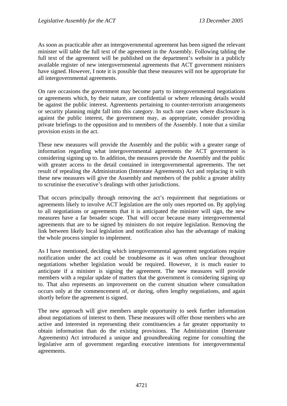As soon as practicable after an intergovernmental agreement has been signed the relevant minister will table the full text of the agreement in the Assembly. Following tabling the full text of the agreement will be published on the department's website in a publicly available register of new intergovernmental agreements that ACT government ministers have signed. However, I note it is possible that these measures will not be appropriate for all intergovernmental agreements.

On rare occasions the government may become party to intergovernmental negotiations or agreements which, by their nature, are confidential or where releasing details would be against the public interest. Agreements pertaining to counter-terrorism arrangements or security planning might fall into this category. In such rare cases where disclosure is against the public interest, the government may, as appropriate, consider providing private briefings to the opposition and to members of the Assembly. I note that a similar provision exists in the act.

These new measures will provide the Assembly and the public with a greater range of information regarding what intergovernmental agreements the ACT government is considering signing up to. In addition, the measures provide the Assembly and the public with greater access to the detail contained in intergovernmental agreements. The net result of repealing the Administration (Interstate Agreements) Act and replacing it with these new measures will give the Assembly and members of the public a greater ability to scrutinise the executive's dealings with other jurisdictions.

That occurs principally through removing the act's requirement that negotiations or agreements likely to involve ACT legislation are the only ones reported on. By applying to all negotiations or agreements that it is anticipated the minister will sign, the new measures have a far broader scope. That will occur because many intergovernmental agreements that are to be signed by ministers do not require legislation. Removing the link between likely local legislation and notification also has the advantage of making the whole process simpler to implement.

As I have mentioned, deciding which intergovernmental agreement negotiations require notification under the act could be troublesome as it was often unclear throughout negotiations whether legislation would be required. However, it is much easier to anticipate if a minister is signing the agreement. The new measures will provide members with a regular update of matters that the government is considering signing up to. That also represents an improvement on the current situation where consultation occurs only at the commencement of, or during, often lengthy negotiations, and again shortly before the agreement is signed.

The new approach will give members ample opportunity to seek further information about negotiations of interest to them. These measures will offer those members who are active and interested in representing their constituencies a far greater opportunity to obtain information than do the existing provisions. The Administration (Interstate Agreements) Act introduced a unique and groundbreaking regime for consulting the legislative arm of government regarding executive intentions for intergovernmental agreements.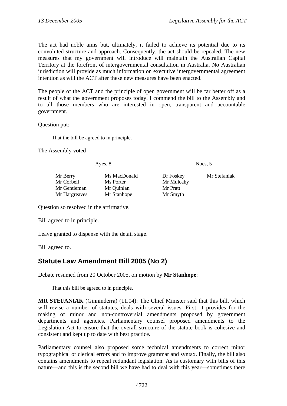<span id="page-11-0"></span>The act had noble aims but, ultimately, it failed to achieve its potential due to its convoluted structure and approach. Consequently, the act should be repealed. The new measures that my government will introduce will maintain the Australian Capital Territory at the forefront of intergovernmental consultation in Australia. No Australian jurisdiction will provide as much information on executive intergovernmental agreement intention as will the ACT after these new measures have been enacted.

The people of the ACT and the principle of open government will be far better off as a result of what the government proposes today. I commend the bill to the Assembly and to all those members who are interested in open, transparent and accountable government.

Question put:

That the bill be agreed to in principle.

The Assembly voted—

Ayes, 8 Noes, 5

| Mr Berry      | Ms MacDor  |
|---------------|------------|
| Mr Corbell    | Ms Porter  |
| Mr Gentleman  | Mr Quinlan |
| Mr Hargreaves | Mr Stanhop |

Mr Mulcahy Mr Pratt pe Mr Smyth

nald Dr Foskey Mr Stefaniak

Question so resolved in the affirmative.

Bill agreed to in principle.

Leave granted to dispense with the detail stage.

Bill agreed to.

# **Statute Law Amendment Bill 2005 (No 2)**

Debate resumed from 20 October 2005, on motion by **Mr Stanhope**:

That this bill be agreed to in principle.

**MR STEFANIAK** (Ginninderra) (11.04): The Chief Minister said that this bill, which will revise a number of statutes, deals with several issues. First, it provides for the making of minor and non-controversial amendments proposed by government departments and agencies. Parliamentary counsel proposed amendments to the Legislation Act to ensure that the overall structure of the statute book is cohesive and consistent and kept up to date with best practice.

Parliamentary counsel also proposed some technical amendments to correct minor typographical or clerical errors and to improve grammar and syntax. Finally, the bill also contains amendments to repeal redundant legislation. As is customary with bills of this nature—and this is the second bill we have had to deal with this year—sometimes there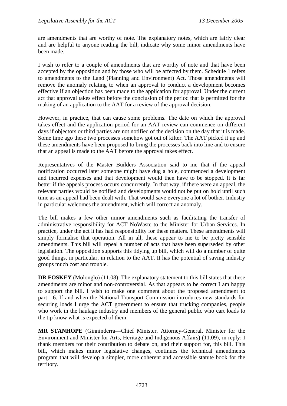are amendments that are worthy of note. The explanatory notes, which are fairly clear and are helpful to anyone reading the bill, indicate why some minor amendments have been made.

I wish to refer to a couple of amendments that are worthy of note and that have been accepted by the opposition and by those who will be affected by them. Schedule 1 refers to amendments to the Land (Planning and Environment) Act. Those amendments will remove the anomaly relating to when an approval to conduct a development becomes effective if an objection has been made to the application for approval. Under the current act that approval takes effect before the conclusion of the period that is permitted for the making of an application to the AAT for a review of the approval decision.

However, in practice, that can cause some problems. The date on which the approval takes effect and the application period for an AAT review can commence on different days if objectors or third parties are not notified of the decision on the day that it is made. Some time ago these two processes somehow got out of kilter. The AAT picked it up and these amendments have been proposed to bring the processes back into line and to ensure that an appeal is made to the AAT before the approval takes effect.

Representatives of the Master Builders Association said to me that if the appeal notification occurred later someone might have dug a hole, commenced a development and incurred expenses and that development would then have to be stopped. It is far better if the appeals process occurs concurrently. In that way, if there were an appeal, the relevant parties would be notified and developments would not be put on hold until such time as an appeal had been dealt with. That would save everyone a lot of bother. Industry in particular welcomes the amendment, which will correct an anomaly.

The bill makes a few other minor amendments such as facilitating the transfer of administrative responsibility for ACT NoWaste to the Minister for Urban Services. In practice, under the act it has had responsibility for these matters. These amendments will simply formalise that operation. All in all, these appear to me to be pretty sensible amendments. This bill will repeal a number of acts that have been superseded by other legislation. The opposition supports this tidying up bill, which will do a number of quite good things, in particular, in relation to the AAT. It has the potential of saving industry groups much cost and trouble.

**DR FOSKEY** (Molonglo) (11.08): The explanatory statement to this bill states that these amendments are minor and non-controversial. As that appears to be correct I am happy to support the bill. I wish to make one comment about the proposed amendment to part 1.6. If and when the National Transport Commission introduces new standards for securing loads I urge the ACT government to ensure that trucking companies, people who work in the haulage industry and members of the general public who cart loads to the tip know what is expected of them.

**MR STANHOPE** (Ginninderra—Chief Minister, Attorney-General, Minister for the Environment and Minister for Arts, Heritage and Indigenous Affairs) (11.09), in reply: I thank members for their contribution to debate on, and their support for, this bill. This bill, which makes minor legislative changes, continues the technical amendments program that will develop a simpler, more coherent and accessible statute book for the territory.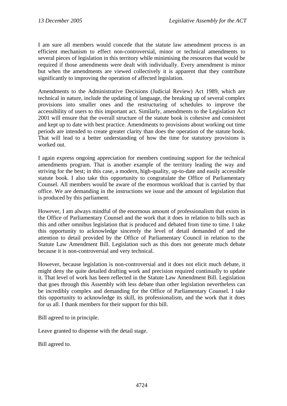I am sure all members would concede that the statute law amendment process is an efficient mechanism to effect non-controversial, minor or technical amendments to several pieces of legislation in this territory while minimising the resources that would be required if those amendments were dealt with individually. Every amendment is minor but when the amendments are viewed collectively it is apparent that they contribute significantly to improving the operation of affected legislation.

Amendments to the Administrative Decisions (Judicial Review) Act 1989, which are technical in nature, include the updating of language, the breaking up of several complex provisions into smaller ones and the restructuring of schedules to improve the accessibility of users to this important act. Similarly, amendments to the Legislation Act 2001 will ensure that the overall structure of the statute book is cohesive and consistent and kept up to date with best practice. Amendments to provisions about working out time periods are intended to create greater clarity than does the operation of the statute book. That will lead to a better understanding of how the time for statutory provisions is worked out.

I again express ongoing appreciation for members continuing support for the technical amendments program. That is another example of the territory leading the way and striving for the best; in this case, a modern, high-quality, up-to-date and easily accessible statute book. I also take this opportunity to congratulate the Office of Parliamentary Counsel. All members would be aware of the enormous workload that is carried by that office. We are demanding in the instructions we issue and the amount of legislation that is produced by this parliament.

However, I am always mindful of the enormous amount of professionalism that exists in the Office of Parliamentary Counsel and the work that it does in relation to bills such as this and other omnibus legislation that is produced and debated from time to time. I take this opportunity to acknowledge sincerely the level of detail demanded of and the attention to detail provided by the Office of Parliamentary Council in relation to the Statute Law Amendment Bill. Legislation such as this does not generate much debate because it is non-controversial and very technical.

However, because legislation is non-controversial and it does not elicit much debate, it might deny the quite detailed drafting work and precision required continually to update it. That level of work has been reflected in the Statute Law Amendment Bill. Legislation that goes through this Assembly with less debate than other legislation nevertheless can be incredibly complex and demanding for the Office of Parliamentary Counsel. I take this opportunity to acknowledge its skill, its professionalism, and the work that it does for us all. I thank members for their support for this bill.

Bill agreed to in principle.

Leave granted to dispense with the detail stage.

Bill agreed to.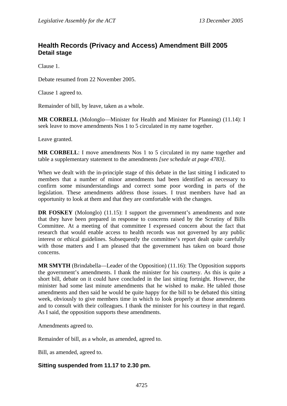## <span id="page-14-0"></span>**Health Records (Privacy and Access) Amendment Bill 2005 Detail stage**

Clause 1.

Debate resumed from 22 November 2005.

Clause 1 agreed to.

Remainder of bill, by leave, taken as a whole.

**MR CORBELL** (Molonglo—Minister for Health and Minister for Planning) (11.14): I seek leave to move amendments Nos 1 to 5 circulated in my name together.

Leave granted.

**MR CORBELL**: I move amendments Nos 1 to 5 circulated in my name together and table a supplementary statement to the amendments *[see schedule at page 4783].*

When we dealt with the in-principle stage of this debate in the last sitting I indicated to members that a number of minor amendments had been identified as necessary to confirm some misunderstandings and correct some poor wording in parts of the legislation. These amendments address those issues. I trust members have had an opportunity to look at them and that they are comfortable with the changes.

**DR FOSKEY** (Molonglo) (11.15): I support the government's amendments and note that they have been prepared in response to concerns raised by the Scrutiny of Bills Committee. At a meeting of that committee I expressed concern about the fact that research that would enable access to health records was not governed by any public interest or ethical guidelines. Subsequently the committee's report dealt quite carefully with those matters and I am pleased that the government has taken on board those concerns.

**MR SMYTH** (Brindabella—Leader of the Opposition) (11.16): The Opposition supports the government's amendments. I thank the minister for his courtesy. As this is quite a short bill, debate on it could have concluded in the last sitting fortnight. However, the minister had some last minute amendments that he wished to make. He tabled those amendments and then said he would be quite happy for the bill to be debated this sitting week, obviously to give members time in which to look properly at those amendments and to consult with their colleagues. I thank the minister for his courtesy in that regard. As I said, the opposition supports these amendments.

Amendments agreed to.

Remainder of bill, as a whole, as amended, agreed to.

Bill, as amended, agreed to.

## **Sitting suspended from 11.17 to 2.30 pm.**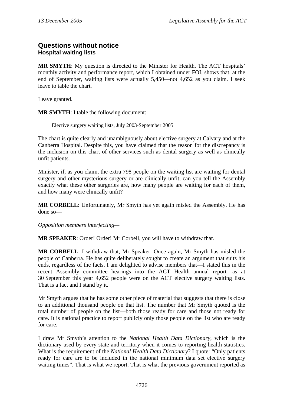## <span id="page-15-0"></span>**Questions without notice Hospital waiting lists**

**MR SMYTH**: My question is directed to the Minister for Health. The ACT hospitals' monthly activity and performance report, which I obtained under FOI, shows that, at the end of September, waiting lists were actually 5,450—not 4,652 as you claim. I seek leave to table the chart.

Leave granted.

**MR SMYTH**: I table the following document:

Elective surgery waiting lists, July 2003-September 2005

The chart is quite clearly and unambiguously about elective surgery at Calvary and at the Canberra Hospital. Despite this, you have claimed that the reason for the discrepancy is the inclusion on this chart of other services such as dental surgery as well as clinically unfit patients.

Minister, if, as you claim, the extra 798 people on the waiting list are waiting for dental surgery and other mysterious surgery or are clinically unfit, can you tell the Assembly exactly what these other surgeries are, how many people are waiting for each of them, and how many were clinically unfit?

**MR CORBELL**: Unfortunately, Mr Smyth has yet again misled the Assembly. He has done so—

*Opposition members interjecting—* 

**MR SPEAKER**: Order! Order! Mr Corbell, you will have to withdraw that.

**MR CORBELL**: I withdraw that, Mr Speaker. Once again, Mr Smyth has misled the people of Canberra. He has quite deliberately sought to create an argument that suits his ends, regardless of the facts. I am delighted to advise members that—I stated this in the recent Assembly committee hearings into the ACT Health annual report—as at 30 September this year 4,652 people were on the ACT elective surgery waiting lists. That is a fact and I stand by it.

Mr Smyth argues that he has some other piece of material that suggests that there is close to an additional thousand people on that list. The number that Mr Smyth quoted is the total number of people on the list—both those ready for care and those not ready for care. It is national practice to report publicly only those people on the list who are ready for care.

I draw Mr Smyth's attention to the *National Health Data Dictionary*, which is the dictionary used by every state and territory when it comes to reporting health statistics. What is the requirement of the *National Health Data Dictionary*? I quote: "Only patients ready for care are to be included in the national minimum data set elective surgery waiting times". That is what we report. That is what the previous government reported as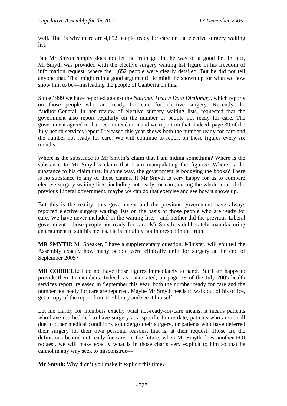well. That is why there are 4,652 people ready for care on the elective surgery waiting list.

But Mr Smyth simply does not let the truth get in the way of a good lie. In fact, Mr Smyth was provided with the elective surgery waiting list figure in his freedom of information request, where the 4,652 people were clearly detailed. But he did not tell anyone that. That might ruin a good argument! He might be shown up for what we now show him to be—misleading the people of Canberra on this.

Since 1999 we have reported against the *National Health Data Dictionary*, which reports on those people who are ready for care for elective surgery. Recently the Auditor-General, in her review of elective surgery waiting lists, requested that the government also report regularly on the number of people not ready for care. The government agreed to that recommendation and we report on that. Indeed, page 39 of the July health services report I released this year shows both the number ready for care and the number not ready for care. We will continue to report on these figures every six months.

Where is the substance to Mr Smyth's claim that I am hiding something? Where is the substance to Mr Smyth's claim that I am manipulating the figures? Where is the substance to his claim that, in some way, the government is bodgying the books? There is no substance to any of those claims. If Mr Smyth is very happy for us to compare elective surgery waiting lists, including not-ready-for-care, during the whole term of the previous Liberal government, maybe we can do that exercise and see how it shows up.

But this is the reality: this government and the previous government have always reported elective surgery waiting lists on the basis of those people who are ready for care. We have never included in the waiting lists—and neither did the previous Liberal government—those people not ready for care. Mr Smyth is deliberately manufacturing an argument to suit his means. He is certainly not interested in the truth.

**MR SMYTH**: Mr Speaker, I have a supplementary question. Minister, will you tell the Assembly exactly how many people were clinically unfit for surgery at the end of September 2005?

**MR CORBELL**: I do not have those figures immediately to hand. But I am happy to provide them to members. Indeed, as I indicated, on page 39 of the July 2005 health services report, released in September this year, both the number ready for care and the number not ready for care are reported. Maybe Mr Smyth needs to walk out of his office, get a copy of the report from the library and see it himself.

Let me clarify for members exactly what not-ready-for-care means: it means patients who have rescheduled to have surgery at a specific future date, patients who are too ill due to other medical conditions to undergo their surgery, or patients who have deferred their surgery for their own personal reasons, that is, at their request. Those are the definitions behind not-ready-for-care. In the future, when Mr Smyth does another FOI request, we will make exactly what is in those charts very explicit to him so that he cannot in any way seek to misconstrue—

**Mr Smyth**: Why didn't you make it explicit this time?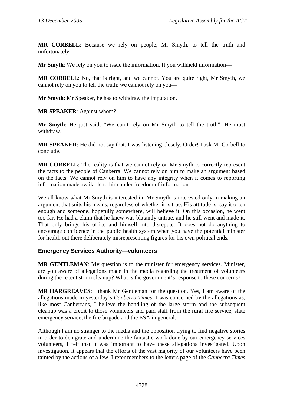<span id="page-17-0"></span>**MR CORBELL**: Because we rely on people, Mr Smyth, to tell the truth and unfortunately—

**Mr Smyth**: We rely on you to issue the information. If you withheld information—

**MR CORBELL**: No, that is right, and we cannot. You are quite right, Mr Smyth, we cannot rely on you to tell the truth; we cannot rely on you—

**Mr Smyth**: Mr Speaker, he has to withdraw the imputation.

**MR SPEAKER**: Against whom?

**Mr Smyth**: He just said, "We can't rely on Mr Smyth to tell the truth". He must withdraw.

**MR SPEAKER**: He did not say that. I was listening closely. Order! I ask Mr Corbell to conclude.

**MR CORBELL**: The reality is that we cannot rely on Mr Smyth to correctly represent the facts to the people of Canberra. We cannot rely on him to make an argument based on the facts. We cannot rely on him to have any integrity when it comes to reporting information made available to him under freedom of information.

We all know what Mr Smyth is interested in. Mr Smyth is interested only in making an argument that suits his means, regardless of whether it is true. His attitude is: say it often enough and someone, hopefully somewhere, will believe it. On this occasion, he went too far. He had a claim that he knew was blatantly untrue, and he still went and made it. That only brings his office and himself into disrepute. It does not do anything to encourage confidence in the public health system when you have the potential minister for health out there deliberately misrepresenting figures for his own political ends.

## **Emergency Services Authority—volunteers**

**MR GENTLEMAN**: My question is to the minister for emergency services. Minister, are you aware of allegations made in the media regarding the treatment of volunteers during the recent storm cleanup? What is the government's response to these concerns?

**MR HARGREAVES**: I thank Mr Gentleman for the question. Yes, I am aware of the allegations made in yesterday's *Canberra Times*. I was concerned by the allegations as, like most Canberrans, I believe the handling of the large storm and the subsequent cleanup was a credit to those volunteers and paid staff from the rural fire service, state emergency service, the fire brigade and the ESA in general.

Although I am no stranger to the media and the opposition trying to find negative stories in order to denigrate and undermine the fantastic work done by our emergency services volunteers, I felt that it was important to have these allegations investigated. Upon investigation, it appears that the efforts of the vast majority of our volunteers have been tainted by the actions of a few. I refer members to the letters page of the *Canberra Times*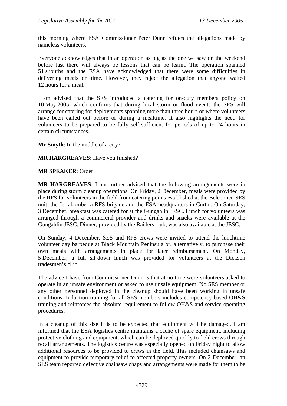this morning where ESA Commissioner Peter Dunn refutes the allegations made by nameless volunteers.

Everyone acknowledges that in an operation as big as the one we saw on the weekend before last there will always be lessons that can be learnt. The operation spanned 51 suburbs and the ESA have acknowledged that there were some difficulties in delivering meals on time. However, they reject the allegation that anyone waited 12 hours for a meal.

I am advised that the SES introduced a catering for on-duty members policy on 10 May 2005, which confirms that during local storm or flood events the SES will arrange for catering for deployments spanning more than three hours or where volunteers have been called out before or during a mealtime. It also highlights the need for volunteers to be prepared to be fully self-sufficient for periods of up to 24 hours in certain circumstances.

**Mr Smyth**: In the middle of a city?

#### **MR HARGREAVES**: Have you finished?

#### **MR SPEAKER**: Order!

**MR HARGREAVES**: I am further advised that the following arrangements were in place during storm cleanup operations. On Friday, 2 December, meals were provided by the RFS for volunteers in the field from catering points established at the Belconnen SES unit, the Jerrabomberra RFS brigade and the ESA headquarters in Curtin. On Saturday, 3 December, breakfast was catered for at the Gungahlin JESC. Lunch for volunteers was arranged through a commercial provider and drinks and snacks were available at the Gungahlin JESC. Dinner, provided by the Raiders club, was also available at the JESC.

On Sunday, 4 December, SES and RFS crews were invited to attend the lunchtime volunteer day barbeque at Black Mountain Peninsula or, alternatively, to purchase their own meals with arrangements in place for later reimbursement. On Monday, 5 December, a full sit-down lunch was provided for volunteers at the Dickson tradesmen's club.

The advice I have from Commissioner Dunn is that at no time were volunteers asked to operate in an unsafe environment or asked to use unsafe equipment. No SES member or any other personnel deployed in the cleanup should have been working in unsafe conditions. Induction training for all SES members includes competency-based OH&S training and reinforces the absolute requirement to follow OH&S and service operating procedures.

In a cleanup of this size it is to be expected that equipment will be damaged. I am informed that the ESA logistics centre maintains a cache of spare equipment, including protective clothing and equipment, which can be deployed quickly to field crews through recall arrangements. The logistics centre was especially opened on Friday night to allow additional resources to be provided to crews in the field. This included chainsaws and equipment to provide temporary relief to affected property owners. On 2 December, an SES team reported defective chainsaw chaps and arrangements were made for them to be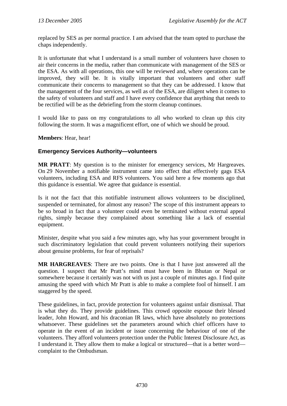<span id="page-19-0"></span>replaced by SES as per normal practice. I am advised that the team opted to purchase the chaps independently.

It is unfortunate that what I understand is a small number of volunteers have chosen to air their concerns in the media, rather than communicate with management of the SES or the ESA. As with all operations, this one will be reviewed and, where operations can be improved, they will be. It is vitally important that volunteers and other staff communicate their concerns to management so that they can be addressed. I know that the management of the four services, as well as of the ESA, are diligent when it comes to the safety of volunteers and staff and I have every confidence that anything that needs to be rectified will be as the debriefing from the storm cleanup continues.

I would like to pass on my congratulations to all who worked to clean up this city following the storm. It was a magnificent effort, one of which we should be proud.

**Members**: Hear, hear!

### **Emergency Services Authority—volunteers**

**MR PRATT**: My question is to the minister for emergency services, Mr Hargreaves. On 29 November a notifiable instrument came into effect that effectively gags ESA volunteers, including ESA and RFS volunteers. You said here a few moments ago that this guidance is essential. We agree that guidance is essential.

Is it not the fact that this notifiable instrument allows volunteers to be disciplined, suspended or terminated, for almost any reason? The scope of this instrument appears to be so broad in fact that a volunteer could even be terminated without external appeal rights, simply because they complained about something like a lack of essential equipment.

Minister, despite what you said a few minutes ago, why has your government brought in such discriminatory legislation that could prevent volunteers notifying their superiors about genuine problems, for fear of reprisals?

**MR HARGREAVES**: There are two points. One is that I have just answered all the question. I suspect that Mr Pratt's mind must have been in Bhutan or Nepal or somewhere because it certainly was not with us just a couple of minutes ago. I find quite amusing the speed with which Mr Pratt is able to make a complete fool of himself. I am staggered by the speed.

These guidelines, in fact, provide protection for volunteers against unfair dismissal. That is what they do. They provide guidelines. This crowd opposite espouse their blessed leader, John Howard, and his draconian IR laws, which have absolutely no protections whatsoever. These guidelines set the parameters around which chief officers have to operate in the event of an incident or issue concerning the behaviour of one of the volunteers. They afford volunteers protection under the Public Interest Disclosure Act, as I understand it. They allow them to make a logical or structured—that is a better word complaint to the Ombudsman.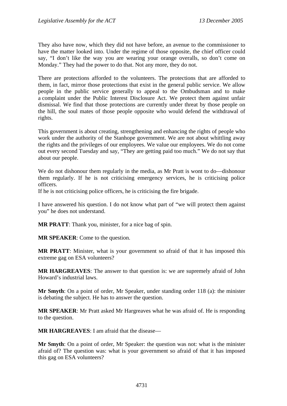They also have now, which they did not have before, an avenue to the commissioner to have the matter looked into. Under the regime of those opposite, the chief officer could say, "I don't like the way you are wearing your orange overalls, so don't come on Monday." They had the power to do that. Not any more, they do not.

There are protections afforded to the volunteers. The protections that are afforded to them, in fact, mirror those protections that exist in the general public service. We allow people in the public service generally to appeal to the Ombudsman and to make a complaint under the Public Interest Disclosure Act. We protect them against unfair dismissal. We find that those protections are currently under threat by those people on the hill, the soul mates of those people opposite who would defend the withdrawal of rights.

This government is about creating, strengthening and enhancing the rights of people who work under the authority of the Stanhope government. We are not about whittling away the rights and the privileges of our employees. We value our employees. We do not come out every second Tuesday and say, "They are getting paid too much." We do not say that about our people.

We do not dishonour them regularly in the media, as Mr Pratt is wont to do—dishonour them regularly. If he is not criticising emergency services, he is criticising police officers.

If he is not criticising police officers, he is criticising the fire brigade.

I have answered his question. I do not know what part of "we will protect them against you" he does not understand.

**MR PRATT**: Thank you, minister, for a nice bag of spin.

**MR SPEAKER**: Come to the question.

**MR PRATT**: Minister, what is your government so afraid of that it has imposed this extreme gag on ESA volunteers?

**MR HARGREAVES**: The answer to that question is: we are supremely afraid of John Howard's industrial laws.

**Mr Smyth**: On a point of order, Mr Speaker, under standing order 118 (a): the minister is debating the subject. He has to answer the question.

**MR SPEAKER**: Mr Pratt asked Mr Hargreaves what he was afraid of. He is responding to the question.

**MR HARGREAVES**: I am afraid that the disease—

**Mr Smyth**: On a point of order, Mr Speaker: the question was not: what is the minister afraid of? The question was: what is your government so afraid of that it has imposed this gag on ESA volunteers?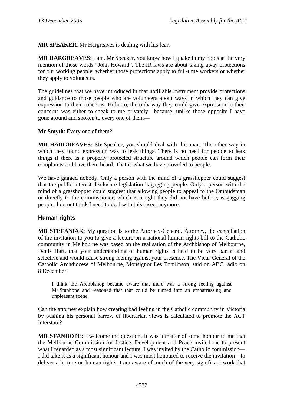<span id="page-21-0"></span>**MR SPEAKER**: Mr Hargreaves is dealing with his fear.

**MR HARGREAVES**: I am. Mr Speaker, you know how I quake in my boots at the very mention of those words "John Howard". The IR laws are about taking away protections for our working people, whether those protections apply to full-time workers or whether they apply to volunteers.

The guidelines that we have introduced in that notifiable instrument provide protections and guidance to those people who are volunteers about ways in which they can give expression to their concerns. Hitherto, the only way they could give expression to their concerns was either to speak to me privately—because, unlike those opposite I have gone around and spoken to every one of them—

**Mr Smyth**: Every one of them?

**MR HARGREAVES**: Mr Speaker, you should deal with this man. The other way in which they found expression was to leak things. There is no need for people to leak things if there is a properly protected structure around which people can form their complaints and have them heard. That is what we have provided to people.

We have gagged nobody. Only a person with the mind of a grasshopper could suggest that the public interest disclosure legislation is gagging people. Only a person with the mind of a grasshopper could suggest that allowing people to appeal to the Ombudsman or directly to the commissioner, which is a right they did not have before, is gagging people. I do not think I need to deal with this insect anymore.

## **Human rights**

**MR STEFANIAK**: My question is to the Attorney-General. Attorney, the cancellation of the invitation to you to give a lecture on a national human rights bill to the Catholic community in Melbourne was based on the realisation of the Archbishop of Melbourne, Denis Hart, that your understanding of human rights is held to be very partial and selective and would cause strong feeling against your presence. The Vicar-General of the Catholic Archdiocese of Melbourne, Monsignor Les Tomlinson, said on ABC radio on 8 December:

I think the Archbishop became aware that there was a strong feeling against Mr Stanhope and reasoned that that could be turned into an embarrassing and unpleasant scene.

Can the attorney explain how creating bad feeling in the Catholic community in Victoria by pushing his personal barrow of libertarian views is calculated to promote the ACT interstate?

**MR STANHOPE**: I welcome the question. It was a matter of some honour to me that the Melbourne Commission for Justice, Development and Peace invited me to present what I regarded as a most significant lecture. I was invited by the Catholic commission— I did take it as a significant honour and I was most honoured to receive the invitation—to deliver a lecture on human rights. I am aware of much of the very significant work that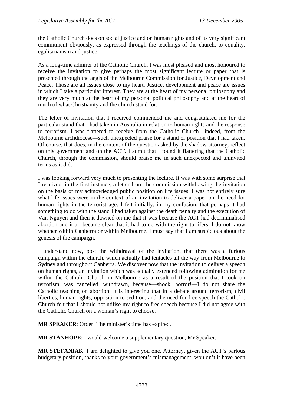the Catholic Church does on social justice and on human rights and of its very significant commitment obviously, as expressed through the teachings of the church, to equality, egalitarianism and justice.

As a long-time admirer of the Catholic Church, I was most pleased and most honoured to receive the invitation to give perhaps the most significant lecture or paper that is presented through the aegis of the Melbourne Commission for Justice, Development and Peace. Those are all issues close to my heart. Justice, development and peace are issues in which I take a particular interest. They are at the heart of my personal philosophy and they are very much at the heart of my personal political philosophy and at the heart of much of what Christianity and the church stand for.

The letter of invitation that I received commended me and congratulated me for the particular stand that I had taken in Australia in relation to human rights and the response to terrorism. I was flattered to receive from the Catholic Church—indeed, from the Melbourne archdiocese—such unexpected praise for a stand or position that I had taken. Of course, that does, in the context of the question asked by the shadow attorney, reflect on this government and on the ACT. I admit that I found it flattering that the Catholic Church, through the commission, should praise me in such unexpected and uninvited terms as it did.

I was looking forward very much to presenting the lecture. It was with some surprise that I received, in the first instance, a letter from the commission withdrawing the invitation on the basis of my acknowledged public position on life issues. I was not entirely sure what life issues were in the context of an invitation to deliver a paper on the need for human rights in the terrorist age. I felt initially, in my confusion, that perhaps it had something to do with the stand I had taken against the death penalty and the execution of Van Nguyen and then it dawned on me that it was because the ACT had decriminalised abortion and it all became clear that it had to do with the right to lifers, I do not know whether within Canberra or within Melbourne. I must say that I am suspicious about the genesis of the campaign.

I understand now, post the withdrawal of the invitation, that there was a furious campaign within the church, which actually had tentacles all the way from Melbourne to Sydney and throughout Canberra. We discover now that the invitation to deliver a speech on human rights, an invitation which was actually extended following admiration for me within the Catholic Church in Melbourne as a result of the position that I took on terrorism, was cancelled, withdrawn, because—shock, horror!—I do not share the Catholic teaching on abortion. It is interesting that in a debate around terrorism, civil liberties, human rights, opposition to sedition, and the need for free speech the Catholic Church felt that I should not utilise my right to free speech because I did not agree with the Catholic Church on a woman's right to choose.

**MR SPEAKER**: Order! The minister's time has expired.

**MR STANHOPE**: I would welcome a supplementary question, Mr Speaker.

**MR STEFANIAK**: I am delighted to give you one. Attorney, given the ACT's parlous budgetary position, thanks to your government's mismanagement, wouldn't it have been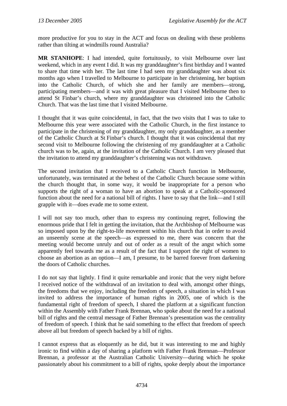more productive for you to stay in the ACT and focus on dealing with these problems rather than tilting at windmills round Australia?

**MR STANHOPE**: I had intended, quite fortuitously, to visit Melbourne over last weekend, which in any event I did. It was my granddaughter's first birthday and I wanted to share that time with her. The last time I had seen my granddaughter was about six months ago when I travelled to Melbourne to participate in her christening, her baptism into the Catholic Church, of which she and her family are members—strong, participating members—and it was with great pleasure that I visited Melbourne then to attend St Finbar's church, where my granddaughter was christened into the Catholic Church. That was the last time that I visited Melbourne.

I thought that it was quite coincidental, in fact, that the two visits that I was to take to Melbourne this year were associated with the Catholic Church, in the first instance to participate in the christening of my granddaughter, my only granddaughter, as a member of the Catholic Church at St Finbar's church. I thought that it was coincidental that my second visit to Melbourne following the christening of my granddaughter at a Catholic church was to be, again, at the invitation of the Catholic Church. I am very pleased that the invitation to attend my granddaughter's christening was not withdrawn.

The second invitation that I received to a Catholic Church function in Melbourne, unfortunately, was terminated at the behest of the Catholic Church because some within the church thought that, in some way, it would be inappropriate for a person who supports the right of a woman to have an abortion to speak at a Catholic-sponsored function about the need for a national bill of rights. I have to say that the link—and I still grapple with it—does evade me to some extent.

I will not say too much, other than to express my continuing regret, following the enormous pride that I felt in getting the invitation, that the Archbishop of Melbourne was so imposed upon by the right-to-life movement within his church that in order to avoid an unseemly scene at the speech—as expressed to me, there was concern that the meeting would become unruly and out of order as a result of the angst which some apparently feel towards me as a result of the fact that I support the right of women to choose an abortion as an option—I am, I presume, to be barred forever from darkening the doors of Catholic churches.

I do not say that lightly. I find it quite remarkable and ironic that the very night before I received notice of the withdrawal of an invitation to deal with, amongst other things, the freedoms that we enjoy, including the freedom of speech, a situation in which I was invited to address the importance of human rights in 2005, one of which is the fundamental right of freedom of speech, I shared the platform at a significant function within the Assembly with Father Frank Brennan, who spoke about the need for a national bill of rights and the central message of Father Brennan's presentation was the centrality of freedom of speech. I think that he said something to the effect that freedom of speech above all but freedom of speech backed by a bill of rights.

I cannot express that as eloquently as he did, but it was interesting to me and highly ironic to find within a day of sharing a platform with Father Frank Brennan—Professor Brennan, a professor at the Australian Catholic University—during which he spoke passionately about his commitment to a bill of rights, spoke deeply about the importance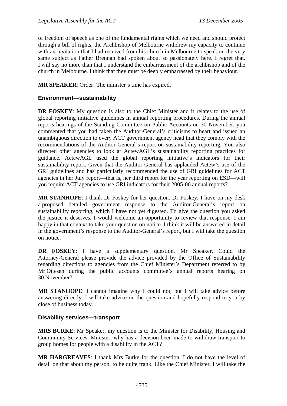<span id="page-24-0"></span>of freedom of speech as one of the fundamental rights which we need and should protect through a bill of rights, the Archbishop of Melbourne withdrew my capacity to continue with an invitation that I had received from his church in Melbourne to speak on the very same subject as Father Brennan had spoken about so passionately here. I regret that. I will say no more than that I understand the embarrassment of the archbishop and of the church in Melbourne. I think that they must be deeply embarrassed by their behaviour.

**MR SPEAKER**: Order! The minister's time has expired.

## **Environment—sustainability**

**DR FOSKEY**: My question is also to the Chief Minister and it relates to the use of global reporting initiative guidelines in annual reporting procedures. During the annual reports hearings of the Standing Committee on Public Accounts on 30 November, you commented that you had taken the Auditor-General's criticisms to heart and issued an unambiguous direction to every ACT government agency head that they comply with the recommendations of the Auditor-General's report on sustainability reporting. You also directed other agencies to look at ActewAGL's sustainability reporting practices for guidance. ActewAGL used the global reporting initiative's indicators for their sustainability report. Given that the Auditor-General has applauded Actew's use of the GRI guidelines and has particularly recommended the use of GRI guidelines for ACT agencies in her July report—that is, her third report for the year reporting on ESD—will you require ACT agencies to use GRI indicators for their 2005-06 annual reports?

**MR STANHOPE**: I thank Dr Foskey for her question. Dr Foskey, I have on my desk a proposed detailed government response to the Auditor-General's report on sustainability reporting, which I have not yet digested. To give the question you asked the justice it deserves, I would welcome an opportunity to review that response. I am happy in that context to take your question on notice. I think it will be answered in detail in the government's response to the Auditor-General's report, but I will take the question on notice.

**DR FOSKEY**: I have a supplementary question, Mr Speaker. Could the Attorney-General please provide the advice provided by the Office of Sustainability regarding directions to agencies from the Chief Minister's Department referred to by Mr Ottesen during the public accounts committee's annual reports hearing on 30 November?

**MR STANHOPE**: I cannot imagine why I could not, but I will take advice before answering directly. I will take advice on the question and hopefully respond to you by close of business today.

## **Disability services—transport**

**MRS BURKE**: Mr Speaker, my question is to the Minister for Disability, Housing and Community Services. Minister, why has a decision been made to withdraw transport to group homes for people with a disability in the ACT?

**MR HARGREAVES**: I thank Mrs Burke for the question. I do not have the level of detail on that about my person, to be quite frank. Like the Chief Minister, I will take the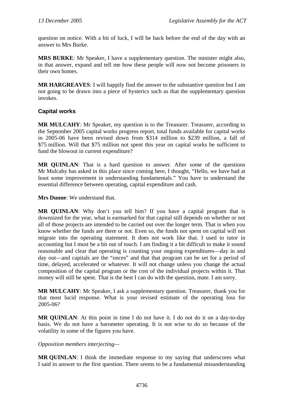<span id="page-25-0"></span>question on notice. With a bit of luck, I will be back before the end of the day with an answer to Mrs Burke.

**MRS BURKE**: Mr Speaker, I have a supplementary question. The minister might also, in that answer, expand and tell me how these people will now not become prisoners in their own homes.

**MR HARGREAVES**: I will happily find the answer to the substantive question but I am not going to be drawn into a piece of hysterics such as that the supplementary question invokes.

## **Capital works**

**MR MULCAHY**: Mr Speaker, my question is to the Treasurer. Treasurer, according to the September 2005 capital works progress report, total funds available for capital works in 2005-06 have been revised down from \$314 million to \$239 million, a fall of \$75 million. Will that \$75 million not spent this year on capital works be sufficient to fund the blowout in current expenditure?

**MR QUINLAN**: That is a hard question to answer. After some of the questions Mr Mulcahy has asked in this place since coming here, I thought, "Hello, we have had at least some improvement in understanding fundamentals." You have to understand the essential difference between operating, capital expenditure and cash.

**Mrs Dunne**: We understand that.

**MR QUINLAN**: Why don't you tell him? If you have a capital program that is downsized for the year, what is earmarked for that capital still depends on whether or not all of those projects are intended to be carried out over the longer term. That is when you know whether the funds are there or not. Even so, the funds not spent on capital will not migrate into the operating statement. It does not work like that. I used to tutor in accounting but I must be a bit out of touch. I am finding it a bit difficult to make it sound reasonable and clear that operating is counting your ongoing expenditures—day in and day out—and capitals are the "onces" and that that program can be set for a period of time, delayed, accelerated or whatever. It will not change unless you change the actual composition of the capital program or the cost of the individual projects within it. That money will still be spent. That is the best I can do with the question, mate. I am sorry.

**MR MULCAHY**: Mr Speaker, I ask a supplementary question. Treasurer, thank you for that most lucid response. What is your revised estimate of the operating loss for 2005-06?

**MR QUINLAN**: At this point in time I do not have it. I do not do it on a day-to-day basis. We do not have a barometer operating. It is not wise to do so because of the volatility in some of the figures you have.

*Opposition members interjecting—* 

**MR QUINLAN**: I think the immediate response to my saying that underscores what I said in answer to the first question. There seems to be a fundamental misunderstanding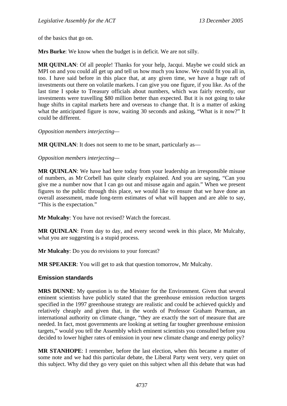<span id="page-26-0"></span>of the basics that go on.

**Mrs Burke**: We know when the budget is in deficit. We are not silly.

**MR QUINLAN:** Of all people! Thanks for your help, Jacqui. Maybe we could stick an MPI on and you could all get up and tell us how much you know. We could fit you all in, too. I have said before in this place that, at any given time, we have a huge raft of investments out there on volatile markets. I can give you one figure, if you like. As of the last time I spoke to Treasury officials about numbers, which was fairly recently, our investments were travelling \$80 million better than expected. But it is not going to take huge shifts in capital markets here and overseas to change that. It is a matter of asking what the anticipated figure is now, waiting 30 seconds and asking, "What is it now?" It could be different.

*Opposition members interjecting—* 

**MR QUINLAN:** It does not seem to me to be smart, particularly as—

*Opposition members interjecting—* 

**MR QUINLAN**: We have had here today from your leadership an irresponsible misuse of numbers, as Mr Corbell has quite clearly explained. And you are saying, "Can you give me a number now that I can go out and misuse again and again." When we present figures to the public through this place, we would like to ensure that we have done an overall assessment, made long-term estimates of what will happen and are able to say, "This is the expectation."

**Mr Mulcahy**: You have not revised? Watch the forecast.

**MR QUINLAN**: From day to day, and every second week in this place, Mr Mulcahy, what you are suggesting is a stupid process.

**Mr Mulcahy**: Do you do revisions to your forecast?

**MR SPEAKER**: You will get to ask that question tomorrow, Mr Mulcahy.

## **Emission standards**

**MRS DUNNE**: My question is to the Minister for the Environment. Given that several eminent scientists have publicly stated that the greenhouse emission reduction targets specified in the 1997 greenhouse strategy are realistic and could be achieved quickly and relatively cheaply and given that, in the words of Professor Graham Pearman, an international authority on climate change, "they are exactly the sort of measure that are needed. In fact, most governments are looking at setting far tougher greenhouse emission targets," would you tell the Assembly which eminent scientists you consulted before you decided to lower higher rates of emission in your new climate change and energy policy?

**MR STANHOPE**: I remember, before the last election, when this became a matter of some note and we had this particular debate, the Liberal Party went very, very quiet on this subject. Why did they go very quiet on this subject when all this debate that was had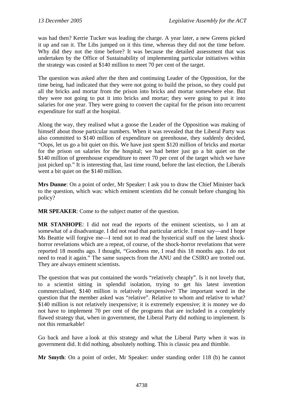was had then? Kerrie Tucker was leading the charge. A year later, a new Greens picked it up and ran it. The Libs jumped on it this time, whereas they did not the time before. Why did they not the time before? It was because the detailed assessment that was undertaken by the Office of Sustainability of implementing particular initiatives within the strategy was costed at \$140 million to meet 70 per cent of the target.

The question was asked after the then and continuing Leader of the Opposition, for the time being, had indicated that they were not going to build the prison, so they could put all the bricks and mortar from the prison into bricks and mortar somewhere else. But they were not going to put it into bricks and mortar; they were going to put it into salaries for one year. They were going to convert the capital for the prison into recurrent expenditure for staff at the hospital.

Along the way, they realised what a goose the Leader of the Opposition was making of himself about those particular numbers. When it was revealed that the Liberal Party was also committed to \$140 million of expenditure on greenhouse, they suddenly decided, "Oops, let us go a bit quiet on this. We have just spent \$120 million of bricks and mortar for the prison on salaries for the hospital; we had better just go a bit quiet on the \$140 million of greenhouse expenditure to meet 70 per cent of the target which we have just picked up." It is interesting that, last time round, before the last election, the Liberals went a bit quiet on the \$140 million.

**Mrs Dunne**: On a point of order, Mr Speaker: I ask you to draw the Chief Minister back to the question, which was: which eminent scientists did he consult before changing his policy?

**MR SPEAKER**: Come to the subject matter of the question.

**MR STANHOPE**: I did not read the reports of the eminent scientists, so I am at somewhat of a disadvantage. I did not read that particular article. I must say—and I hope Ms Beattie will forgive me—I tend not to read the hysterical stuff on the latest shockhorror revelations which are a repeat, of course, of the shock-horror revelations that were reported 18 months ago. I thought, "Goodness me, I read this 18 months ago. I do not need to read it again." The same suspects from the ANU and the CSIRO are trotted out. They are always eminent scientists.

The question that was put contained the words "relatively cheaply". Is it not lovely that, to a scientist sitting in splendid isolation, trying to get his latest invention commercialised, \$140 million is relatively inexpensive? The important word in the question that the member asked was "relative". Relative to whom and relative to what? \$140 million is not relatively inexpensive; it is extremely expensive; it is money we do not have to implement 70 per cent of the programs that are included in a completely flawed strategy that, when in government, the Liberal Party did nothing to implement. Is not this remarkable!

Go back and have a look at this strategy and what the Liberal Party when it was in government did. It did nothing, absolutely nothing. This is classic pea and thimble.

**Mr Smyth**: On a point of order, Mr Speaker: under standing order 118 (b) he cannot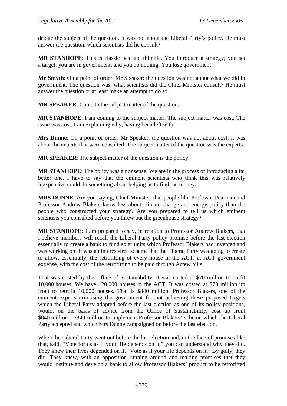debate the subject of the question. It was not about the Liberal Party's policy. He must answer the question: which scientists did he consult?

**MR STANHOPE**: This is classic pea and thimble. You introduce a strategy; you set a target; you are in government; and you do nothing. You lose government.

**Mr Smyth**: On a point of order, Mr Speaker: the question was not about what we did in government. The question was: what scientists did the Chief Minister consult? He must answer the question or at least make an attempt to do so.

**MR SPEAKER**: Come to the subject matter of the question.

**MR STANHOPE**: I am coming to the subject matter. The subject matter was cost. The issue was cost. I am explaining why, having been left with—

**Mrs Dunne**: On a point of order, Mr Speaker: the question was not about cost; it was about the experts that were consulted. The subject matter of the question was the experts.

**MR SPEAKER**: The subject matter of the question is the policy.

**MR STANHOPE**: The policy was a nonsense. We are in the process of introducing a far better one. I have to say that the eminent scientists who think this was relatively inexpensive could do something about helping us to find the money.

**MRS DUNNE**: Are you saying, Chief Minister, that people like Professor Pearman and Professor Andrew Blakers know less about climate change and energy policy than the people who constructed your strategy? Are you prepared to tell us which eminent scientists you consulted before you threw out the greenhouse strategy?

**MR STANHOPE**: I am prepared to say, in relation to Professor Andrew Blakers, that I believe members will recall the Liberal Party policy promise before the last election essentially to create a bank to fund solar units which Professor Blakers had invented and was working on. It was an interest-free scheme that the Liberal Party was going to create to allow, essentially, the retrofitting of every house in the ACT, at ACT government expense, with the cost of the retrofitting to be paid through Actew bills.

That was costed by the Office of Sustainability. It was costed at \$70 million to outfit 10,000 houses. We have 120,000 houses in the ACT. It was costed at \$70 million up front to retrofit 10,000 houses. That is \$840 million. Professor Blakers, one of the eminent experts criticising the government for not achieving these proposed targets which the Liberal Party adopted before the last election as one of its policy positions, would, on the basis of advice from the Office of Sustainability, cost up front \$840 million—\$840 million to implement Professor Blakers' scheme which the Liberal Party accepted and which Mrs Dunne campaigned on before the last election.

When the Liberal Party went out before the last election and, in the face of promises like that, said, "Vote for us as if your life depends on it," you can understand why they did. They knew their lives depended on it. "Vote as if your life depends on it." By golly, they did. They knew, with an opposition running around and making promises that they would institute and develop a bank to allow Professor Blakers' product to be retrofitted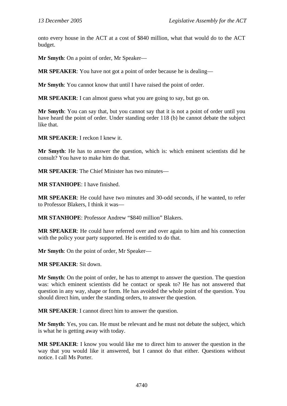onto every house in the ACT at a cost of \$840 million, what that would do to the ACT budget.

**Mr Smyth**: On a point of order, Mr Speaker—

**MR SPEAKER**: You have not got a point of order because he is dealing—

**Mr Smyth**: You cannot know that until I have raised the point of order.

**MR SPEAKER**: I can almost guess what you are going to say, but go on.

**Mr Smyth**: You can say that, but you cannot say that it is not a point of order until you have heard the point of order. Under standing order 118 (b) he cannot debate the subject like that.

**MR SPEAKER**: I reckon I knew it.

**Mr Smyth**: He has to answer the question, which is: which eminent scientists did he consult? You have to make him do that.

**MR SPEAKER**: The Chief Minister has two minutes—

**MR STANHOPE**: I have finished.

**MR SPEAKER**: He could have two minutes and 30-odd seconds, if he wanted, to refer to Professor Blakers, I think it was—

**MR STANHOPE**: Professor Andrew "\$840 million" Blakers.

**MR SPEAKER**: He could have referred over and over again to him and his connection with the policy your party supported. He is entitled to do that.

**Mr Smyth**: On the point of order, Mr Speaker—

**MR SPEAKER**: Sit down.

**Mr Smyth**: On the point of order, he has to attempt to answer the question. The question was: which eminent scientists did he contact or speak to? He has not answered that question in any way, shape or form. He has avoided the whole point of the question. You should direct him, under the standing orders, to answer the question.

**MR SPEAKER**: I cannot direct him to answer the question.

**Mr Smyth**: Yes, you can. He must be relevant and he must not debate the subject, which is what he is getting away with today.

**MR SPEAKER**: I know you would like me to direct him to answer the question in the way that you would like it answered, but I cannot do that either. Questions without notice. I call Ms Porter.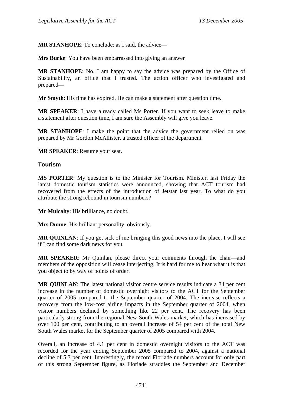<span id="page-30-0"></span>**MR STANHOPE**: To conclude: as I said, the advice—

**Mrs Burke**: You have been embarrassed into giving an answer

**MR STANHOPE**: No. I am happy to say the advice was prepared by the Office of Sustainability, an office that I trusted. The action officer who investigated and prepared—

**Mr Smyth**: His time has expired. He can make a statement after question time.

**MR SPEAKER**: I have already called Ms Porter. If you want to seek leave to make a statement after question time, I am sure the Assembly will give you leave.

**MR STANHOPE**: I make the point that the advice the government relied on was prepared by Mr Gordon McAllister, a trusted officer of the department.

**MR SPEAKER**: Resume your seat.

#### **Tourism**

**MS PORTER**: My question is to the Minister for Tourism. Minister, last Friday the latest domestic tourism statistics were announced, showing that ACT tourism had recovered from the effects of the introduction of Jetstar last year. To what do you attribute the strong rebound in tourism numbers?

**Mr Mulcahy**: His brilliance, no doubt.

**Mrs Dunne**: His brilliant personality, obviously.

**MR QUINLAN**: If you get sick of me bringing this good news into the place, I will see if I can find some dark news for you.

**MR SPEAKER**: Mr Quinlan, please direct your comments through the chair—and members of the opposition will cease interjecting. It is hard for me to hear what it is that you object to by way of points of order.

**MR QUINLAN**: The latest national visitor centre service results indicate a 34 per cent increase in the number of domestic overnight visitors to the ACT for the September quarter of 2005 compared to the September quarter of 2004. The increase reflects a recovery from the low-cost airline impacts in the September quarter of 2004, when visitor numbers declined by something like 22 per cent. The recovery has been particularly strong from the regional New South Wales market, which has increased by over 100 per cent, contributing to an overall increase of 54 per cent of the total New South Wales market for the September quarter of 2005 compared with 2004.

Overall, an increase of 4.1 per cent in domestic overnight visitors to the ACT was recorded for the year ending September 2005 compared to 2004, against a national decline of 5.3 per cent. Interestingly, the record Floriade numbers account for only part of this strong September figure, as Floriade straddles the September and December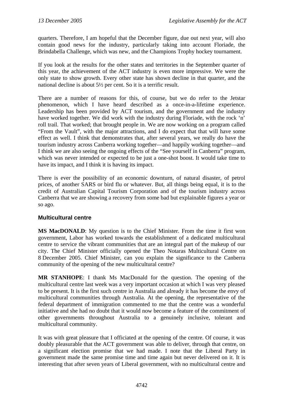<span id="page-31-0"></span>quarters. Therefore, I am hopeful that the December figure, due out next year, will also contain good news for the industry, particularly taking into account Floriade, the Brindabella Challenge, which was new, and the Champions Trophy hockey tournament.

If you look at the results for the other states and territories in the September quarter of this year, the achievement of the ACT industry is even more impressive. We were the only state to show growth. Every other state has shown decline in that quarter, and the national decline is about 5½ per cent. So it is a terrific result.

There are a number of reasons for this, of course, but we do refer to the Jetstar phenomenon, which I have heard described as a once-in-a-lifetime experience. Leadership has been provided by ACT tourism, and the government and the industry have worked together. We did work with the industry during Floriade, with the rock 'n' roll trail. That worked; that brought people in. We are now working on a program called "From the Vault", with the major attractions, and I do expect that that will have some effect as well. I think that demonstrates that, after several years, we really do have the tourism industry across Canberra working together—and happily working together—and I think we are also seeing the ongoing effects of the "See yourself in Canberra" program, which was never intended or expected to be just a one-shot boost. It would take time to have its impact, and I think it is having its impact.

There is ever the possibility of an economic downturn, of natural disaster, of petrol prices, of another SARS or bird flu or whatever. But, all things being equal, it is to the credit of Australian Capital Tourism Corporation and of the tourism industry across Canberra that we are showing a recovery from some bad but explainable figures a year or so ago.

## **Multicultural centre**

**MS MacDONALD**: My question is to the Chief Minister. From the time it first won government, Labor has worked towards the establishment of a dedicated multicultural centre to service the vibrant communities that are an integral part of the makeup of our city. The Chief Minister officially opened the Theo Notaras Multicultural Centre on 8 December 2005. Chief Minister, can you explain the significance to the Canberra community of the opening of the new multicultural centre?

**MR STANHOPE**: I thank Ms MacDonald for the question. The opening of the multicultural centre last week was a very important occasion at which I was very pleased to be present. It is the first such centre in Australia and already it has become the envy of multicultural communities through Australia. At the opening, the representative of the federal department of immigration commented to me that the centre was a wonderful initiative and she had no doubt that it would now become a feature of the commitment of other governments throughout Australia to a genuinely inclusive, tolerant and multicultural community.

It was with great pleasure that I officiated at the opening of the centre. Of course, it was doubly pleasurable that the ACT government was able to deliver, through that centre, on a significant election promise that we had made. I note that the Liberal Party in government made the same promise time and time again but never delivered on it. It is interesting that after seven years of Liberal government, with no multicultural centre and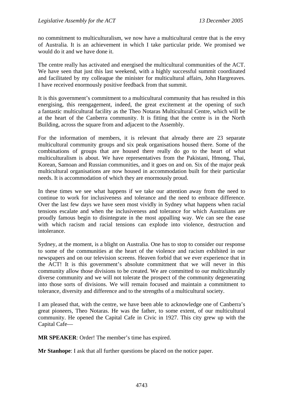no commitment to multiculturalism, we now have a multicultural centre that is the envy of Australia. It is an achievement in which I take particular pride. We promised we would do it and we have done it.

The centre really has activated and energised the multicultural communities of the ACT. We have seen that just this last weekend, with a highly successful summit coordinated and facilitated by my colleague the minister for multicultural affairs, John Hargreaves. I have received enormously positive feedback from that summit.

It is this government's commitment to a multicultural community that has resulted in this energising, this reengagement, indeed, the great excitement at the opening of such a fantastic multicultural facility as the Theo Notaras Multicultural Centre, which will be at the heart of the Canberra community. It is fitting that the centre is in the North Building, across the square from and adjacent to the Assembly.

For the information of members, it is relevant that already there are 23 separate multicultural community groups and six peak organisations housed there. Some of the combinations of groups that are housed there really do go to the heart of what multiculturalism is about. We have representatives from the Pakistani, Hmong, Thai, Korean, Samoan and Russian communities, and it goes on and on. Six of the major peak multicultural organisations are now housed in accommodation built for their particular needs. It is accommodation of which they are enormously proud.

In these times we see what happens if we take our attention away from the need to continue to work for inclusiveness and tolerance and the need to embrace difference. Over the last few days we have seen most vividly in Sydney what happens when racial tensions escalate and when the inclusiveness and tolerance for which Australians are proudly famous begin to disintegrate in the most appalling way. We can see the ease with which racism and racial tensions can explode into violence, destruction and intolerance.

Sydney, at the moment, is a blight on Australia. One has to stop to consider our response to some of the communities at the heart of the violence and racism exhibited in our newspapers and on our television screens. Heaven forbid that we ever experience that in the ACT! It is this government's absolute commitment that we will never in this community allow those divisions to be created. We are committed to our multiculturally diverse community and we will not tolerate the prospect of the community degenerating into those sorts of divisions. We will remain focused and maintain a commitment to tolerance, diversity and difference and to the strengths of a multicultural society.

I am pleased that, with the centre, we have been able to acknowledge one of Canberra's great pioneers, Theo Notaras. He was the father, to some extent, of our multicultural community. He opened the Capital Cafe in Civic in 1927. This city grew up with the Capital Cafe—

**MR SPEAKER**: Order! The member's time has expired.

**Mr Stanhope**: I ask that all further questions be placed on the notice paper.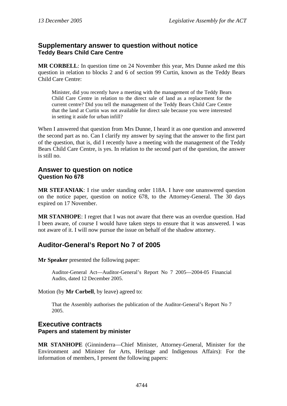## <span id="page-33-0"></span>**Supplementary answer to question without notice Teddy Bears Child Care Centre**

**MR CORBELL**: In question time on 24 November this year, Mrs Dunne asked me this question in relation to blocks 2 and 6 of section 99 Curtin, known as the Teddy Bears Child Care Centre:

Minister, did you recently have a meeting with the management of the Teddy Bears Child Care Centre in relation to the direct sale of land as a replacement for the current centre? Did you tell the management of the Teddy Bears Child Care Centre that the land at Curtin was not available for direct sale because you were interested in setting it aside for urban infill?

When I answered that question from Mrs Dunne, I heard it as one question and answered the second part as no. Can I clarify my answer by saying that the answer to the first part of the question, that is, did I recently have a meeting with the management of the Teddy Bears Child Care Centre, is yes. In relation to the second part of the question, the answer is still no.

## **Answer to question on notice Question No 678**

**MR STEFANIAK**: I rise under standing order 118A. I have one unanswered question on the notice paper, question on notice 678, to the Attorney-General. The 30 days expired on 17 November.

**MR STANHOPE**: I regret that I was not aware that there was an overdue question. Had I been aware, of course I would have taken steps to ensure that it was answered. I was not aware of it. I will now pursue the issue on behalf of the shadow attorney.

# **Auditor-General's Report No 7 of 2005**

**Mr Speaker** presented the following paper:

Auditor-General Act—Auditor-General's Report No 7 2005—2004-05 Financial Audits, dated 12 December 2005.

Motion (by **Mr Corbell**, by leave) agreed to:

That the Assembly authorises the publication of the Auditor-General's Report No 7 2005.

# **Executive contracts**

## **Papers and statement by minister**

**MR STANHOPE** (Ginninderra—Chief Minister, Attorney-General, Minister for the Environment and Minister for Arts, Heritage and Indigenous Affairs): For the information of members, I present the following papers: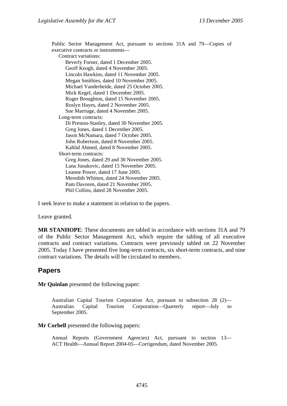<span id="page-34-0"></span>Public Sector Management Act, pursuant to sections 31A and 79—Copies of executive contracts or instruments— Contract variations: Beverly Forner, dated 1 December 2005. Geoff Keogh, dated 4 November 2005. Lincoln Hawkins, dated 11 November 2005. Megan Smithies, dated 10 November 2005. Michael Vanderheide, dated 25 October 2005. Mick Kegel, dated 1 December 2005. Roger Broughton, dated 15 November 2005. Roslyn Hayes, dated 2 November 2005. Sue Marriage, dated 4 November 2005. Long-term contracts: Di Preston-Stanley, dated 30 November 2005. Greg Jones, dated 1 December 2005. Jason McNamara, dated 7 October 2005. John Robertson, dated 8 November 2005. Kahlid Ahmed, dated 8 November 2005. Short-term contracts: Greg Jones, dated 29 and 30 November 2005. Lana Junakovic, dated 15 November 2005. Leanne Power, dated 17 June 2005. Meredith Whitten, dated 24 November 2005. Pam Davoren, dated 21 November 2005. Phil Collins, dated 28 November 2005.

I seek leave to make a statement in relation to the papers.

#### Leave granted.

**MR STANHOPE**: These documents are tabled in accordance with sections 31A and 79 of the Public Sector Management Act, which require the tabling of all executive contracts and contract variations. Contracts were previously tabled on 22 November 2005. Today I have presented five long-term contracts, six short-term contracts, and nine contract variations. The details will be circulated to members.

## **Papers**

**Mr Quinlan** presented the following paper:

Australian Capital Tourism Corporation Act, pursuant to subsection 28 (2)— Australian Capital Tourism Corporation—Quarterly report—July to September 2005.

#### **Mr Corbell** presented the following papers:

Annual Reports (Government Agencies) Act, pursuant to section 13— ACT Health—Annual Report 2004-05—Corrigendum, dated November 2005.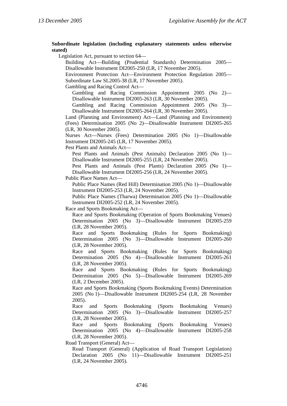#### **Subordinate legislation (including explanatory statements unless otherwise stated)**

Legislation Act, pursuant to section 64—

Building Act—Building (Prudential Standards) Determination 2005— Disallowable Instrument DI2005-250 (LR, 17 November 2005).

Environment Protection Act—Environment Protection Regulation 2005— Subordinate Law SL2005-38 (LR, 17 November 2005).

Gambling and Racing Control Act—

Gambling and Racing Commission Appointment 2005 (No 2)— Disallowable Instrument DI2005-263 (LR, 30 November 2005).

Gambling and Racing Commission Appointment 2005 (No 3)— Disallowable Instrument DI2005-264 (LR, 30 November 2005).

Land (Planning and Environment) Act—Land (Planning and Environment) (Fees) Determination 2005 (No 2)—Disallowable Instrument DI2005-265 (LR, 30 November 2005).

Nurses Act—Nurses (Fees) Determination 2005 (No 1)—Disallowable Instrument DI2005-245 (LR, 17 November 2005).

Pest Plants and Animals Act—

Pest Plants and Animals (Pest Animals) Declaration 2005 (No 1)— Disallowable Instrument DI2005-255 (LR, 24 November 2005).

Pest Plants and Animals (Pest Plants) Declaration 2005 (No 1)— Disallowable Instrument DI2005-256 (LR, 24 November 2005).

Public Place Names Act—

Public Place Names (Red Hill) Determination 2005 (No 1)—Disallowable Instrument DI2005-253 (LR, 24 November 2005).

Public Place Names (Tharwa) Determination 2005 (No 1)—Disallowable Instrument DI2005-252 (LR, 24 November 2005).

Race and Sports Bookmaking Act—

Race and Sports Bookmaking (Operation of Sports Bookmaking Venues) Determination 2005 (No 3)—Disallowable Instrument DI2005-259 (LR, 28 November 2005).

Race and Sports Bookmaking (Rules for Sports Bookmaking) Determination 2005 (No 3)—Disallowable Instrument DI2005-260 (LR, 28 November 2005).

Race and Sports Bookmaking (Rules for Sports Bookmaking) Determination 2005 (No 4)—Disallowable Instrument DI2005-261 (LR, 28 November 2005).

Race and Sports Bookmaking (Rules for Sports Bookmaking) Determination 2005 (No 5)—Disallowable Instrument DI2005-269 (LR, 2 December 2005).

Race and Sports Bookmaking (Sports Bookmaking Events) Determination 2005 (No 1)—Disallowable Instrument DI2005-254 (LR, 28 November 2005).

Race and Sports Bookmaking (Sports Bookmaking Venues) Determination 2005 (No 3)—Disallowable Instrument DI2005-257 (LR, 28 November 2005).

Race and Sports Bookmaking (Sports Bookmaking Venues) Determination 2005 (No 4)—Disallowable Instrument DI2005-258 (LR, 28 November 2005).

Road Transport (General) Act—

Road Transport (General) (Application of Road Transport Legislation) Declaration 2005 (No 11)—Disallowable Instrument DI2005-251 (LR, 24 November 2005).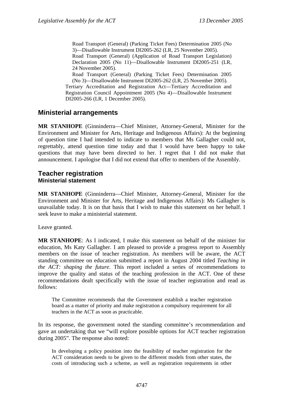Road Transport (General) (Parking Ticket Fees) Determination 2005 (No 3)—Disallowable Instrument DI2005-262 (LR, 25 November 2005).

Road Transport (General) (Application of Road Transport Legislation) Declaration 2005 (No 11)—Disallowable Instrument DI2005-251 (LR, 24 November 2005).

Road Transport (General) (Parking Ticket Fees) Determination 2005 (No 3)—Disallowable Instrument DI2005-262 (LR, 25 November 2005). Tertiary Accreditation and Registration Act—Tertiary Accreditation and Registration Council Appointment 2005 (No 4)—Disallowable Instrument DI2005-266 (LR, 1 December 2005).

# **Ministerial arrangements**

**MR STANHOPE** (Ginninderra—Chief Minister, Attorney-General, Minister for the Environment and Minister for Arts, Heritage and Indigenous Affairs): At the beginning of question time I had intended to indicate to members that Ms Gallagher could not, regrettably, attend question time today and that I would have been happy to take questions that may have been directed to her. I regret that I did not make that announcement. I apologise that I did not extend that offer to members of the Assembly.

## **Teacher registration Ministerial statement**

**MR STANHOPE** (Ginninderra—Chief Minister, Attorney-General, Minister for the Environment and Minister for Arts, Heritage and Indigenous Affairs): Ms Gallagher is unavailable today. It is on that basis that I wish to make this statement on her behalf. I seek leave to make a ministerial statement.

Leave granted.

**MR STANHOPE**: As I indicated, I make this statement on behalf of the minister for education, Ms Katy Gallagher. I am pleased to provide a progress report to Assembly members on the issue of teacher registration. As members will be aware, the ACT standing committee on education submitted a report in August 2004 titled *Teaching in the ACT: shaping the future*. This report included a series of recommendations to improve the quality and status of the teaching profession in the ACT. One of these recommendations dealt specifically with the issue of teacher registration and read as follows:

The Committee recommends that the Government establish a teacher registration board as a matter of priority and make registration a compulsory requirement for all teachers in the ACT as soon as practicable.

In its response, the government noted the standing committee's recommendation and gave an undertaking that we "will explore possible options for ACT teacher registration during 2005". The response also noted:

In developing a policy position into the feasibility of teacher registration for the ACT consideration needs to be given to the different models from other states, the costs of introducing such a scheme, as well as registration requirements in other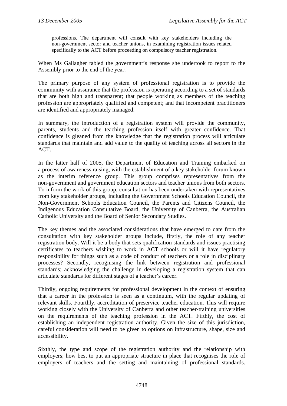professions. The department will consult with key stakeholders including the non-government sector and teacher unions, in examining registration issues related specifically to the ACT before proceeding on compulsory teacher registration.

When Ms Gallagher tabled the government's response she undertook to report to the Assembly prior to the end of the year.

The primary purpose of any system of professional registration is to provide the community with assurance that the profession is operating according to a set of standards that are both high and transparent; that people working as members of the teaching profession are appropriately qualified and competent; and that incompetent practitioners are identified and appropriately managed.

In summary, the introduction of a registration system will provide the community, parents, students and the teaching profession itself with greater confidence. That confidence is gleaned from the knowledge that the registration process will articulate standards that maintain and add value to the quality of teaching across all sectors in the ACT.

In the latter half of 2005, the Department of Education and Training embarked on a process of awareness raising, with the establishment of a key stakeholder forum known as the interim reference group. This group comprises representatives from the non-government and government education sectors and teacher unions from both sectors. To inform the work of this group, consultation has been undertaken with representatives from key stakeholder groups, including the Government Schools Education Council, the Non-Government Schools Education Council, the Parents and Citizens Council, the Indigenous Education Consultative Board, the University of Canberra, the Australian Catholic University and the Board of Senior Secondary Studies.

The key themes and the associated considerations that have emerged to date from the consultation with key stakeholder groups include, firstly, the role of any teacher registration body. Will it be a body that sets qualification standards and issues practising certificates to teachers wishing to work in ACT schools or will it have regulatory responsibility for things such as a code of conduct of teachers or a role in disciplinary processes? Secondly, recognising the link between registration and professional standards; acknowledging the challenge in developing a registration system that can articulate standards for different stages of a teacher's career.

Thirdly, ongoing requirements for professional development in the context of ensuring that a career in the profession is seen as a continuum, with the regular updating of relevant skills. Fourthly, accreditation of preservice teacher education. This will require working closely with the University of Canberra and other teacher-training universities on the requirements of the teaching profession in the ACT. Fifthly, the cost of establishing an independent registration authority. Given the size of this jurisdiction, careful consideration will need to be given to options on infrastructure, shape, size and accessibility.

Sixthly, the type and scope of the registration authority and the relationship with employers; how best to put an appropriate structure in place that recognises the role of employers of teachers and the setting and maintaining of professional standards.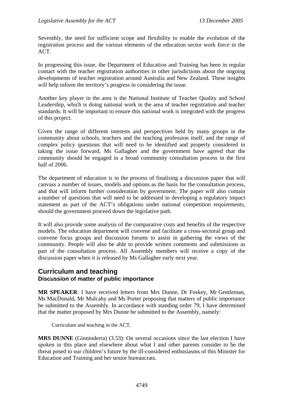Seventhly, the need for sufficient scope and flexibility to enable the evolution of the registration process and the various elements of the education sector work force in the ACT.

In progressing this issue, the Department of Education and Training has been in regular contact with the teacher registration authorities in other jurisdictions about the ongoing developments of teacher registration around Australia and New Zealand. These insights will help inform the territory's progress in considering the issue.

Another key player in the area is the National Institute of Teacher Quality and School Leadership, which is doing national work in the area of teacher registration and teacher standards. It will be important to ensure this national work is integrated with the progress of this project.

Given the range of different interests and perspectives held by many groups in the community about schools, teachers and the teaching profession itself, and the range of complex policy questions that will need to be identified and properly considered in taking the issue forward, Ms Gallagher and the government have agreed that the community should be engaged in a broad community consultation process in the first half of 2006.

The department of education is in the process of finalising a discussion paper that will canvass a number of issues, models and options as the basis for the consultation process, and that will inform further consideration by government. The paper will also contain a number of questions that will need to be addressed in developing a regulatory impact statement as part of the ACT's obligations under national competition requirements, should the government proceed down the legislative path.

It will also provide some analysis of the comparative costs and benefits of the respective models. The education department will convene and facilitate a cross-sectoral group and convene focus groups and discussion forums to assist in gathering the views of the community. People will also be able to provide written comments and submissions as part of the consultation process. All Assembly members will receive a copy of the discussion paper when it is released by Ms Gallagher early next year.

### **Curriculum and teaching Discussion of matter of public importance**

**MR SPEAKER**: I have received letters from Mrs Dunne, Dr Foskey, Mr Gentleman, Ms MacDonald, Mr Mulcahy and Ms Porter proposing that matters of public importance be submitted to the Assembly. In accordance with standing order 79, I have determined that the matter proposed by Mrs Dunne be submitted to the Assembly, namely:

Curriculum and teaching in the ACT.

**MRS DUNNE** (Ginninderra) (3.53): On several occasions since the last election I have spoken in this place and elsewhere about what I and other parents consider to be the threat posed to our children's future by the ill-considered enthusiasms of this Minister for Education and Training and her senior bureaucrats.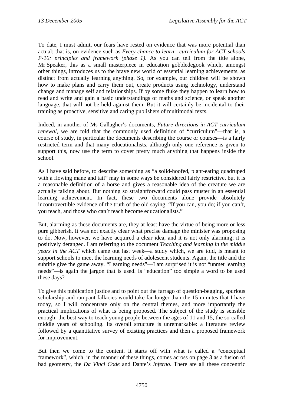To date, I must admit, our fears have rested on evidence that was more potential than actual; that is, on evidence such as *Every chance to learn—curriculum for ACT schools P-10: principles and framework (phase 1)*. As you can tell from the title alone, Mr Speaker, this as a small masterpiece in education gobbledegook which, amongst other things, introduces us to the brave new world of essential learning achievements, as distinct from actually learning anything. So, for example, our children will be shown how to make plans and carry them out, create products using technology, understand change and manage self and relationships. If by some fluke they happen to learn how to read and write and gain a basic understandings of maths and science, or speak another language, that will not be held against them. But it will certainly be incidental to their training as proactive, sensitive and caring publishers of multimodal texts.

Indeed, in another of Ms Gallagher's documents, *Future directions in ACT curriculum renewal*, we are told that the commonly used definition of "curriculum"—that is, a course of study, in particular the documents describing the course or courses—is a fairly restricted term and that many educationalists, although only one reference is given to support this, now use the term to cover pretty much anything that happens inside the school.

As I have said before, to describe something as "a solid-hoofed, plant-eating quadruped with a flowing mane and tail" may in some ways be considered fairly restrictive, but it is a reasonable definition of a horse and gives a reasonable idea of the creature we are actually talking about. But nothing so straightforward could pass muster in an essential learning achievement. In fact, these two documents alone provide absolutely incontrovertible evidence of the truth of the old saying, "If you can, you do; if you can't, you teach, and those who can't teach become educationalists."

But, alarming as these documents are, they at least have the virtue of being more or less pure gibberish. It was not exactly clear what precise damage the minister was proposing to do. Now, however, we have acquired a clear idea, and it is not only alarming; it is positively deranged. I am referring to the document *Teaching and learning in the middle years in the ACT* which came out last week—a study which, we are told, is meant to support schools to meet the learning needs of adolescent students. Again, the title and the subtitle give the game away. "Learning needs"—I am surprised it is not "unmet learning needs"—is again the jargon that is used. Is "education" too simple a word to be used these days?

To give this publication justice and to point out the farrago of question-begging, spurious scholarship and rampant fallacies would take far longer than the 15 minutes that I have today, so I will concentrate only on the central themes, and more importantly the practical implications of what is being proposed. The subject of the study is sensible enough: the best way to teach young people between the ages of 11 and 15, the so-called middle years of schooling. Its overall structure is unremarkable: a literature review followed by a quantitative survey of existing practices and then a proposed framework for improvement.

But then we come to the content. It starts off with what is called a "conceptual framework", which, in the manner of these things, comes across on page 3 as a fusion of bad geometry, the *Da Vinci Code* and Dante's *Inferno*. There are all these concentric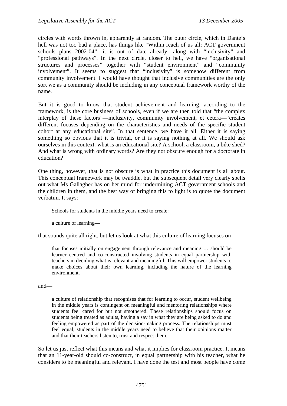circles with words thrown in, apparently at random. The outer circle, which in Dante's hell was not too bad a place, has things like "Within reach of us all: ACT government schools plans 2002-04"—it is out of date already—along with "inclusivity" and "professional pathways". In the next circle, closer to hell, we have "organisational structures and processes" together with "student environment" and "community involvement". It seems to suggest that "inclusivity" is somehow different from community involvement. I would have thought that inclusive communities are the only sort we as a community should be including in any conceptual framework worthy of the name.

But it is good to know that student achievement and learning, according to the framework, is the core business of schools, even if we are then told that "the complex interplay of these factors"—inclusivity, community involvement, et cetera—"creates different focuses depending on the characteristics and needs of the specific student cohort at any educational site". In that sentence, we have it all. Either it is saying something so obvious that it is trivial, or it is saying nothing at all. We should ask ourselves in this context: what is an educational site? A school, a classroom, a bike shed? And what is wrong with ordinary words? Are they not obscure enough for a doctorate in education?

One thing, however, that is not obscure is what in practice this document is all about. This conceptual framework may be twaddle, but the subsequent detail very clearly spells out what Ms Gallagher has on her mind for undermining ACT government schools and the children in them, and the best way of bringing this to light is to quote the document verbatim. It says:

Schools for students in the middle years need to create:

a culture of learning—

that sounds quite all right, but let us look at what this culture of learning focuses on—

that focuses initially on engagement through relevance and meaning … should be learner centred and co-constructed involving students in equal partnership with teachers in deciding what is relevant and meaningful. This will empower students to make choices about their own learning, including the nature of the learning environment.

and—

a culture of relationship that recognises that for learning to occur, student wellbeing in the middle years is contingent on meaningful and mentoring relationships where students feel cared for but not smothered. These relationships should focus on students being treated as adults, having a say in what they are being asked to do and feeling empowered as part of the decision-making process. The relationships must feel equal; students in the middle years need to believe that their opinions matter and that their teachers listen to, trust and respect them.

So let us just reflect what this means and what it implies for classroom practice. It means that an 11-year-old should co-construct, in equal partnership with his teacher, what he considers to be meaningful and relevant. I have done the test and most people have come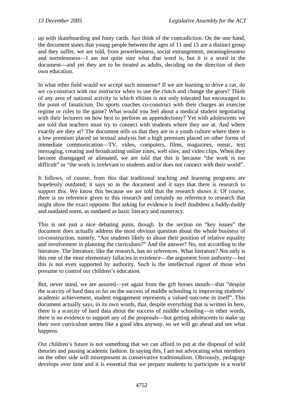up with skateboarding and footy cards. Just think of the contradiction. On the one hand, the document states that young people between the ages of 11 and 15 are a distinct group and they suffer, we are told, from powerlessness, social estrangement, meaninglessness and normlessness—I am not quite sure what that word is, but it is a word in the document—and yet they are to be treated as adults, deciding on the direction of their own education.

In what other field would we accept such nonsense? If we are learning to drive a car, do we co-construct with our instructor when to use the clutch and change the gears? Think of any area of national activity in which elitism is not only tolerated but encouraged to the point of fanaticism. Do sports coaches co-construct with their charges an exercise regime or rules to the game? What would you feel about a medical student negotiating with their lecturers on how best to perform an appendectomy? Yet with adolescents we are told that teachers must try to connect with students where they are at. And where exactly are they at? The document tells us that they are in a youth culture where there is a low premium placed on textual analysis but a high premium placed on other forms of immediate communication—TV, video, computers, films, magazines, music, text messaging, creating and broadcasting online zines, web sites, and video clips. When they become disengaged or alienated, we are told that this is because "the work is too difficult" or "the work is irrelevant to students and/or does not connect with their world".

It follows, of course, from this that traditional teaching and learning programs are hopelessly outdated; it says so in the document and it says that there is research to support this. We know this because we are told that the research shows it. Of course, there is no reference given to this research and certainly no reference to research that might show the exact opposite. But asking for evidence is itself doubtless a fuddy-duddy and outdated norm, as outdated as basic literacy and numeracy.

This is not just a nice debating point, though. In the section on "key issues" the document does actually address the most obvious question about the whole business of co-construction, namely, "Are students likely to abuse their position of relative equality and involvement in planning the curriculum?" And the answer? No, not according to the literature. The literature, like the research, has no references. What literature? Not only is this one of the most elementary fallacies in existence—the argument from authority—but this is not even supported by authority. Such is the intellectual rigour of those who presume to control our children's education.

But, never mind, we are assured—yet again from the gift horses mouth—that "despite the scarcity of hard data so far on the success of middle schooling in improving students' academic achievement, student engagement represents a valued outcome in itself". This document actually says, in its own words, that, despite everything that is written in here, there is a scarcity of hard data about the success of middle schooling—in other words, there is no evidence to support any of the proposals—but getting adolescents to make up their own curriculum seems like a good idea anyway, so we will go ahead and see what happens.

Our children's future is not something that we can afford to put at the disposal of wild theories and passing academic fashion. In saying this, I am not advocating what members on the other side will misrepresent as conservative traditionalism. Obviously, pedagogy develops over time and it is essential that we prepare students to participate in a world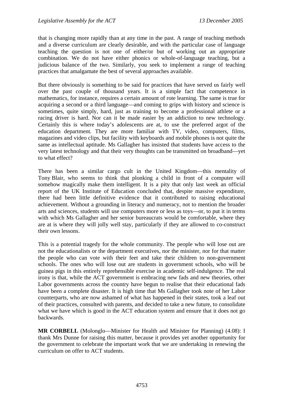that is changing more rapidly than at any time in the past. A range of teaching methods and a diverse curriculum are clearly desirable, and with the particular case of language teaching the question is not one of either/or but of working out an appropriate combination. We do not have either phonics or whole-of-language teaching, but a judicious balance of the two. Similarly, you seek to implement a range of teaching practices that amalgamate the best of several approaches available.

But there obviously is something to be said for practices that have served us fairly well over the past couple of thousand years. It is a simple fact that competence in mathematics, for instance, requires a certain amount of rote learning. The same is true for acquiring a second or a third language—and coming to grips with history and science is sometimes, quite simply, hard, just as training to become a professional athlete or a racing driver is hard. Nor can it be made easier by an addiction to new technology. Certainly this is where today's adolescents are at, to use the preferred argot of the education department. They are more familiar with TV, video, computers, films, magazines and video clips, but facility with keyboards and mobile phones is not quite the same as intellectual aptitude. Ms Gallagher has insisted that students have access to the very latest technology and that their very thoughts can be transmitted on broadband—yet to what effect?

There has been a similar cargo cult in the United Kingdom—this mentality of Tony Blair, who seems to think that plonking a child in front of a computer will somehow magically make them intelligent. It is a pity that only last week an official report of the UK Institute of Education concluded that, despite massive expenditure, there had been little definitive evidence that it contributed to raising educational achievement. Without a grounding in literacy and numeracy, not to mention the broader arts and sciences, students will use computers more or less as toys—or, to put it in terms with which Ms Gallagher and her senior bureaucrats would be comfortable, where they are at is where they will jolly well stay, particularly if they are allowed to co-construct their own lessons.

This is a potential tragedy for the whole community. The people who will lose out are not the educationalists or the department executives, nor the minister, nor for that matter the people who can vote with their feet and take their children to non-government schools. The ones who will lose out are students in government schools, who will be guinea pigs in this entirely reprehensible exercise in academic self-indulgence. The real irony is that, while the ACT government is embracing new fads and new theories, other Labor governments across the country have begun to realise that their educational fads have been a complete disaster. It is high time that Ms Gallagher took note of her Labor counterparts, who are now ashamed of what has happened in their states, took a leaf out of their practices, consulted with parents, and decided to take a new future, to consolidate what we have which is good in the ACT education system and ensure that it does not go backwards.

**MR CORBELL** (Molonglo—Minister for Health and Minister for Planning) (4.08): I thank Mrs Dunne for raising this matter, because it provides yet another opportunity for the government to celebrate the important work that we are undertaking in renewing the curriculum on offer to ACT students.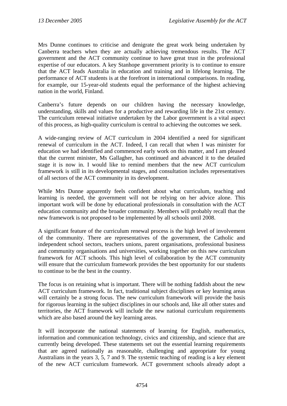Mrs Dunne continues to criticise and denigrate the great work being undertaken by Canberra teachers when they are actually achieving tremendous results. The ACT government and the ACT community continue to have great trust in the professional expertise of our educators. A key Stanhope government priority is to continue to ensure that the ACT leads Australia in education and training and in lifelong learning. The performance of ACT students is at the forefront in international comparisons. In reading, for example, our 15-year-old students equal the performance of the highest achieving nation in the world, Finland.

Canberra's future depends on our children having the necessary knowledge, understanding, skills and values for a productive and rewarding life in the 21st century. The curriculum renewal initiative undertaken by the Labor government is a vital aspect of this process, as high-quality curriculum is central to achieving the outcomes we seek.

A wide-ranging review of ACT curriculum in 2004 identified a need for significant renewal of curriculum in the ACT. Indeed, I can recall that when I was minister for education we had identified and commenced early work on this matter, and I am pleased that the current minister, Ms Gallagher, has continued and advanced it to the detailed stage it is now in. I would like to remind members that the new ACT curriculum framework is still in its developmental stages, and consultation includes representatives of all sectors of the ACT community in its development.

While Mrs Dunne apparently feels confident about what curriculum, teaching and learning is needed, the government will not be relying on her advice alone. This important work will be done by educational professionals in consultation with the ACT education community and the broader community. Members will probably recall that the new framework is not proposed to be implemented by all schools until 2008.

A significant feature of the curriculum renewal process is the high level of involvement of the community. There are representatives of the government, the Catholic and independent school sectors, teachers unions, parent organisations, professional business and community organisations and universities, working together on this new curriculum framework for ACT schools. This high level of collaboration by the ACT community will ensure that the curriculum framework provides the best opportunity for our students to continue to be the best in the country.

The focus is on retaining what is important. There will be nothing faddish about the new ACT curriculum framework. In fact, traditional subject disciplines or key learning areas will certainly be a strong focus. The new curriculum framework will provide the basis for rigorous learning in the subject disciplines in our schools and, like all other states and territories, the ACT framework will include the new national curriculum requirements which are also based around the key learning areas.

It will incorporate the national statements of learning for English, mathematics, information and communication technology, civics and citizenship, and science that are currently being developed. These statements set out the essential learning requirements that are agreed nationally as reasonable, challenging and appropriate for young Australians in the years 3, 5, 7 and 9. The systemic teaching of reading is a key element of the new ACT curriculum framework. ACT government schools already adopt a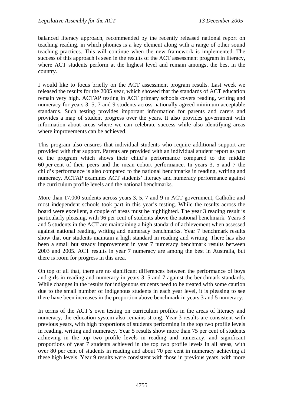balanced literacy approach, recommended by the recently released national report on teaching reading, in which phonics is a key element along with a range of other sound teaching practices. This will continue when the new framework is implemented. The success of this approach is seen in the results of the ACT assessment program in literacy, where ACT students perform at the highest level and remain amongst the best in the country.

I would like to focus briefly on the ACT assessment program results. Last week we released the results for the 2005 year, which showed that the standards of ACT education remain very high. ACTAP testing in ACT primary schools covers reading, writing and numeracy for years 3, 5, 7 and 9 students across nationally agreed minimum acceptable standards. Such testing provides important information for parents and carers and provides a map of student progress over the years. It also provides government with information about areas where we can celebrate success while also identifying areas where improvements can be achieved.

This program also ensures that individual students who require additional support are provided with that support. Parents are provided with an individual student report as part of the program which shows their child's performance compared to the middle 60 per cent of their peers and the mean cohort performance. In years 3, 5 and 7 the child's performance is also compared to the national benchmarks in reading, writing and numeracy. ACTAP examines ACT students' literacy and numeracy performance against the curriculum profile levels and the national benchmarks.

More than 17,000 students across years 3, 5, 7 and 9 in ACT government, Catholic and most independent schools took part in this year's testing. While the results across the board were excellent, a couple of areas must be highlighted. The year 3 reading result is particularly pleasing, with 96 per cent of students above the national benchmark. Years 3 and 5 students in the ACT are maintaining a high standard of achievement when assessed against national reading, writing and numeracy benchmarks. Year 7 benchmark results show that our students maintain a high standard in reading and writing. There has also been a small but steady improvement in year 7 numeracy benchmark results between 2003 and 2005. ACT results in year 7 numeracy are among the best in Australia, but there is room for progress in this area.

On top of all that, there are no significant differences between the performance of boys and girls in reading and numeracy in years 3, 5 and 7 against the benchmark standards. While changes in the results for indigenous students need to be treated with some caution due to the small number of indigenous students in each year level, it is pleasing to see there have been increases in the proportion above benchmark in years 3 and 5 numeracy.

In terms of the ACT's own testing on curriculum profiles in the areas of literacy and numeracy, the education system also remains strong. Year 3 results are consistent with previous years, with high proportions of students performing in the top two profile levels in reading, writing and numeracy. Year 5 results show more than 75 per cent of students achieving in the top two profile levels in reading and numeracy, and significant proportions of year 7 students achieved in the top two profile levels in all areas, with over 80 per cent of students in reading and about 70 per cent in numeracy achieving at these high levels. Year 9 results were consistent with those in previous years, with more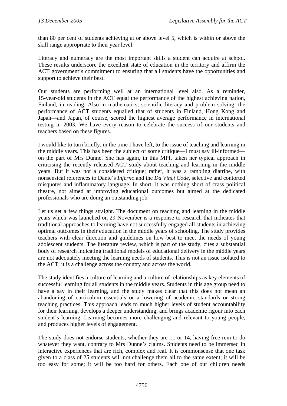than 80 per cent of students achieving at or above level 5, which is within or above the skill range appropriate to their year level.

Literacy and numeracy are the most important skills a student can acquire at school. These results underscore the excellent state of education in the territory and affirm the ACT government's commitment to ensuring that all students have the opportunities and support to achieve their best.

Our students are performing well at an international level also. As a reminder, 15-year-old students in the ACT equal the performance of the highest achieving nation, Finland, in reading. Also in mathematics, scientific literacy and problem solving, the performance of ACT students equalled that of students in Finland, Hong Kong and Japan—and Japan, of course, scored the highest average performance in international testing in 2003. We have every reason to celebrate the success of our students and teachers based on these figures.

I would like to turn briefly, in the time I have left, to the issue of teaching and learning in the middle years. This has been the subject of some critique—I must say ill-informed on the part of Mrs Dunne. She has again, in this MPI, taken her typical approach in criticising the recently released ACT study about teaching and learning in the middle years. But it was not a considered critique; rather, it was a rambling diatribe, with nonsensical references to Dante's *Inferno* and the *Da Vinci Code*, selective and contorted misquotes and inflammatory language. In short, it was nothing short of crass political theatre, not aimed at improving educational outcomes but aimed at the dedicated professionals who are doing an outstanding job.

Let us set a few things straight. The document on teaching and learning in the middle years which was launched on 29 November is a response to research that indicates that traditional approaches to learning have not successfully engaged all students in achieving optimal outcomes in their education in the middle years of schooling. The study provides teachers with clear direction and guidelines on how best to meet the needs of young adolescent students. The literature review, which is part of the study, cites a substantial body of research indicating traditional models of educational delivery in the middle years are not adequately meeting the learning needs of students. This is not an issue isolated to the ACT; it is a challenge across the country and across the world.

The study identifies a culture of learning and a culture of relationships as key elements of successful learning for all students in the middle years. Students in this age group need to have a say in their learning, and the study makes clear that this does not mean an abandoning of curriculum essentials or a lowering of academic standards or strong teaching practices. This approach leads to much higher levels of student accountability for their learning, develops a deeper understanding, and brings academic rigour into each student's learning. Learning becomes more challenging and relevant to young people, and produces higher levels of engagement.

The study does not endorse students, whether they are 11 or 14, having free rein to do whatever they want, contrary to Mrs Dunne's claims. Students need to be immersed in interactive experiences that are rich, complex and real. It is commonsense that one task given to a class of 25 students will not challenge them all to the same extent; it will be too easy for some; it will be too hard for others. Each one of our children needs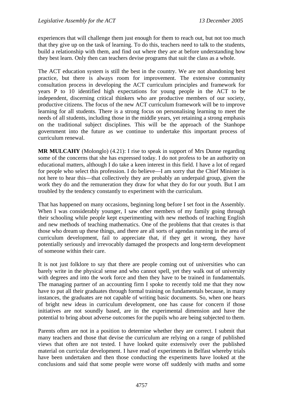experiences that will challenge them just enough for them to reach out, but not too much that they give up on the task of learning. To do this, teachers need to talk to the students, build a relationship with them, and find out where they are at before understanding how they best learn. Only then can teachers devise programs that suit the class as a whole.

The ACT education system is still the best in the country. We are not abandoning best practice, but there is always room for improvement. The extensive community consultation process in developing the ACT curriculum principles and framework for years P to 10 identified high expectations for young people in the ACT to be independent, discerning critical thinkers who are productive members of our society, productive citizens. The focus of the new ACT curriculum framework will be to improve learning for all students. There is a strong focus on personalising learning to meet the needs of all students, including those in the middle years, yet retaining a strong emphasis on the traditional subject disciplines. This will be the approach of the Stanhope government into the future as we continue to undertake this important process of curriculum renewal.

**MR MULCAHY** (Molonglo) (4.21): I rise to speak in support of Mrs Dunne regarding some of the concerns that she has expressed today. I do not profess to be an authority on educational matters, although I do take a keen interest in this field. I have a lot of regard for people who select this profession. I do believe—I am sorry that the Chief Minister is not here to hear this—that collectively they are probably an underpaid group, given the work they do and the remuneration they draw for what they do for our youth. But I am troubled by the tendency constantly to experiment with the curriculum.

That has happened on many occasions, beginning long before I set foot in the Assembly. When I was considerably younger, I saw other members of my family going through their schooling while people kept experimenting with new methods of teaching English and new methods of teaching mathematics. One of the problems that that creates is that those who dream up these things, and there are all sorts of agendas running in the area of curriculum development, fail to appreciate that, if they get it wrong, they have potentially seriously and irrevocably damaged the prospects and long-term development of someone within their care.

It is not just folklore to say that there are people coming out of universities who can barely write in the physical sense and who cannot spell, yet they walk out of university with degrees and into the work force and then they have to be trained in fundamentals. The managing partner of an accounting firm I spoke to recently told me that they now have to put all their graduates through formal training on fundamentals because, in many instances, the graduates are not capable of writing basic documents. So, when one hears of bright new ideas in curriculum development, one has cause for concern if those initiatives are not soundly based, are in the experimental dimension and have the potential to bring about adverse outcomes for the pupils who are being subjected to them.

Parents often are not in a position to determine whether they are correct. I submit that many teachers and those that devise the curriculum are relying on a range of published views that often are not tested. I have looked quite extensively over the published material on curricular development. I have read of experiments in Belfast whereby trials have been undertaken and then those conducting the experiments have looked at the conclusions and said that some people were worse off suddenly with maths and some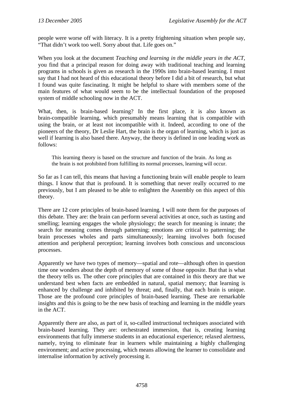people were worse off with literacy. It is a pretty frightening situation when people say, "That didn't work too well. Sorry about that. Life goes on."

When you look at the document *Teaching and learning in the middle years in the ACT*, you find that a principal reason for doing away with traditional teaching and learning programs in schools is given as research in the 1990s into brain-based learning. I must say that I had not heard of this educational theory before I did a bit of research, but what I found was quite fascinating. It might be helpful to share with members some of the main features of what would seem to be the intellectual foundation of the proposed system of middle schooling now in the ACT.

What, then, is brain-based learning? In the first place, it is also known as brain-compatible learning, which presumably means learning that is compatible with using the brain, or at least not incompatible with it. Indeed, according to one of the pioneers of the theory, Dr Leslie Hart, the brain is the organ of learning, which is just as well if learning is also based there. Anyway, the theory is defined in one leading work as follows:

This learning theory is based on the structure and function of the brain. As long as the brain is not prohibited from fulfilling its normal processes, learning will occur.

So far as I can tell, this means that having a functioning brain will enable people to learn things. I know that that is profound. It is something that never really occurred to me previously, but I am pleased to be able to enlighten the Assembly on this aspect of this theory.

There are 12 core principles of brain-based learning. I will note them for the purposes of this debate. They are: the brain can perform several activities at once, such as tasting and smelling; learning engages the whole physiology; the search for meaning is innate; the search for meaning comes through patterning; emotions are critical to patterning; the brain processes wholes and parts simultaneously; learning involves both focused attention and peripheral perception; learning involves both conscious and unconscious processes.

Apparently we have two types of memory—spatial and rote—although often in question time one wonders about the depth of memory of some of those opposite. But that is what the theory tells us. The other core principles that are contained in this theory are that we understand best when facts are embedded in natural, spatial memory; that learning is enhanced by challenge and inhibited by threat; and, finally, that each brain is unique. Those are the profound core principles of brain-based learning. These are remarkable insights and this is going to be the new basis of teaching and learning in the middle years in the ACT.

Apparently there are also, as part of it, so-called instructional techniques associated with brain-based learning. They are: orchestrated immersion, that is, creating learning environments that fully immerse students in an educational experience; relaxed alertness, namely, trying to eliminate fear in learners while maintaining a highly challenging environment; and active processing, which means allowing the learner to consolidate and internalise information by actively processing it.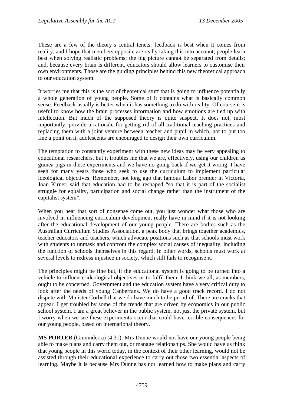These are a few of the theory's central tenets: feedback is best when it comes from reality, and I hope that members opposite are really taking this into account; people learn best when solving realistic problems; the big picture cannot be separated from details; and, because every brain is different, educators should allow learners to customise their own environments. Those are the guiding principles behind this new theoretical approach to our education system.

It worries me that this is the sort of theoretical stuff that is going to influence potentially a whole generation of young people. Some of it contains what is basically common sense. Feedback usually is better when it has something to do with reality. Of course it is useful to know how the brain processes information and how emotions are tied up with intellection. But much of the supposed theory is quite suspect. It does not, most importantly, provide a rationale for getting rid of all traditional teaching practices and replacing them with a joint venture between teacher and pupil in which, not to put too fine a point on it, adolescents are encouraged to design their own curriculum.

The temptation to constantly experiment with these new ideas may be very appealing to educational researchers, but it troubles me that we are, effectively, using our children as guinea pigs in these experiments and we have no going back if we get it wrong. I have seen for many years those who seek to use the curriculum to implement particular ideological objectives. Remember, not long ago that famous Labor premier in Victoria, Joan Kirner, said that education had to be reshaped "so that it is part of the socialist struggle for equality, participation and social change rather than the instrument of the capitalist system".

When you hear that sort of nonsense come out, you just wonder what those who are involved in influencing curriculum development really have in mind if it is not looking after the educational development of our young people. There are bodies such as the Australian Curriculum Studies Association, a peak body that brings together academics, teacher educators and teachers, which advocate positions such as that schools must work with students to unmask and confront the complex social causes of inequality, including the function of schools themselves in this regard. In other words, schools must work at several levels to redress injustice in society, which still fails to recognise it.

The principles might be fine but, if the educational system is going to be turned into a vehicle to influence ideological objectives or to fulfil them, I think we all, as members, ought to be concerned. Government and the education system have a very critical duty to look after the needs of young Canberrans. We do have a good track record. I do not dispute with Minister Corbell that we do have much to be proud of. There are cracks that appear. I get troubled by some of the trends that are driven by economics in our public school system. I am a great believer in the public system, not just the private system, but I worry when we see these experiments occur that could have terrible consequences for our young people, based on international theory.

**MS PORTER** (Ginninderra) (4.31): Mrs Dunne would not have our young people being able to make plans and carry them out, or manage relationships. She would have us think that young people in this world today, in the context of their other learning, would not be assisted through their educational experience to carry out those two essential aspects of learning. Maybe it is because Mrs Dunne has not learned how to make plans and carry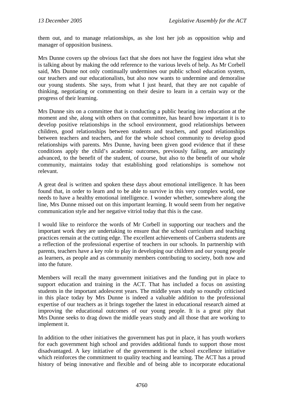them out, and to manage relationships, as she lost her job as opposition whip and manager of opposition business.

Mrs Dunne covers up the obvious fact that she does not have the foggiest idea what she is talking about by making the odd reference to the various levels of help. As Mr Corbell said, Mrs Dunne not only continually undermines our public school education system, our teachers and our educationalists, but also now wants to undermine and demoralise our young students. She says, from what I just heard, that they are not capable of thinking, negotiating or commenting on their desire to learn in a certain way or the progress of their learning.

Mrs Dunne sits on a committee that is conducting a public hearing into education at the moment and she, along with others on that committee, has heard how important it is to develop positive relationships in the school environment, good relationships between children, good relationships between students and teachers, and good relationships between teachers and teachers, and for the whole school community to develop good relationships with parents. Mrs Dunne, having been given good evidence that if these conditions apply the child's academic outcomes, previously failing, are amazingly advanced, to the benefit of the student, of course, but also to the benefit of our whole community, maintains today that establishing good relationships is somehow not relevant.

A great deal is written and spoken these days about emotional intelligence. It has been found that, in order to learn and to be able to survive in this very complex world, one needs to have a healthy emotional intelligence. I wonder whether, somewhere along the line, Mrs Dunne missed out on this important learning. It would seem from her negative communication style and her negative vitriol today that this is the case.

I would like to reinforce the words of Mr Corbell in supporting our teachers and the important work they are undertaking to ensure that the school curriculum and teaching practices remain at the cutting edge. The excellent achievements of Canberra students are a reflection of the professional expertise of teachers in our schools. In partnership with parents, teachers have a key role to play in developing our children and our young people as learners, as people and as community members contributing to society, both now and into the future.

Members will recall the many government initiatives and the funding put in place to support education and training in the ACT. That has included a focus on assisting students in the important adolescent years. The middle years study so roundly criticised in this place today by Mrs Dunne is indeed a valuable addition to the professional expertise of our teachers as it brings together the latest in educational research aimed at improving the educational outcomes of our young people. It is a great pity that Mrs Dunne seeks to drag down the middle years study and all those that are working to implement it.

In addition to the other initiatives the government has put in place, it has youth workers for each government high school and provides additional funds to support those most disadvantaged. A key initiative of the government is the school excellence initiative which reinforces the commitment to quality teaching and learning. The ACT has a proud history of being innovative and flexible and of being able to incorporate educational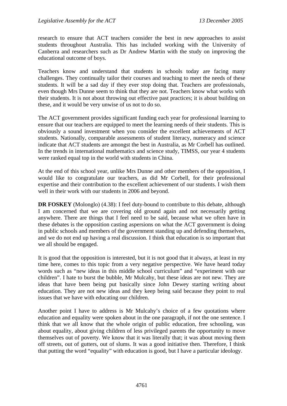research to ensure that ACT teachers consider the best in new approaches to assist students throughout Australia. This has included working with the University of Canberra and researchers such as Dr Andrew Martin with the study on improving the educational outcome of boys.

Teachers know and understand that students in schools today are facing many challenges. They continually tailor their courses and teaching to meet the needs of these students. It will be a sad day if they ever stop doing that. Teachers are professionals, even though Mrs Dunne seem to think that they are not. Teachers know what works with their students. It is not about throwing out effective past practices; it is about building on these, and it would be very unwise of us not to do so.

The ACT government provides significant funding each year for professional learning to ensure that our teachers are equipped to meet the learning needs of their students. This is obviously a sound investment when you consider the excellent achievements of ACT students. Nationally, comparable assessments of student literacy, numeracy and science indicate that ACT students are amongst the best in Australia, as Mr Corbell has outlined. In the trends in international mathematics and science study, TIMSS, our year 4 students were ranked equal top in the world with students in China.

At the end of this school year, unlike Mrs Dunne and other members of the opposition, I would like to congratulate our teachers, as did Mr Corbell, for their professional expertise and their contribution to the excellent achievement of our students. I wish them well in their work with our students in 2006 and beyond.

**DR FOSKEY** (Molonglo) (4.38): I feel duty-bound to contribute to this debate, although I am concerned that we are covering old ground again and not necessarily getting anywhere. There are things that I feel need to be said, because what we often have in these debates is the opposition casting aspersions on what the ACT government is doing in public schools and members of the government standing up and defending themselves, and we do not end up having a real discussion. I think that education is so important that we all should be engaged.

It is good that the opposition is interested, but it is not good that it always, at least in my time here, comes to this topic from a very negative perspective. We have heard today words such as "new ideas in this middle school curriculum" and "experiment with our children". I hate to burst the bubble, Mr Mulcahy, but these ideas are not new. They are ideas that have been being put basically since John Dewey starting writing about education. They are not new ideas and they keep being said because they point to real issues that we have with educating our children.

Another point I have to address is Mr Mulcahy's choice of a few quotations where education and equality were spoken about in the one paragraph, if not the one sentence. I think that we all know that the whole origin of public education, free schooling, was about equality, about giving children of less privileged parents the opportunity to move themselves out of poverty. We know that it was literally that; it was about moving them off streets, out of gutters, out of slums. It was a good initiative then. Therefore, I think that putting the word "equality" with education is good, but I have a particular ideology.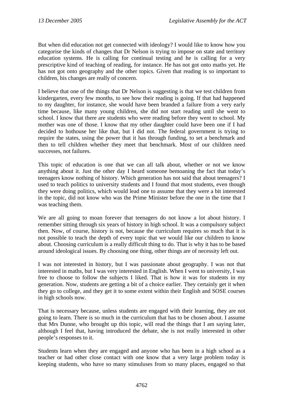But when did education not get connected with ideology? I would like to know how you categorise the kinds of changes that Dr Nelson is trying to impose on state and territory education systems. He is calling for continual testing and he is calling for a very prescriptive kind of teaching of reading, for instance. He has not got onto maths yet. He has not got onto geography and the other topics. Given that reading is so important to children, his changes are really of concern.

I believe that one of the things that Dr Nelson is suggesting is that we test children from kindergarten, every few months, to see how their reading is going. If that had happened to my daughter, for instance, she would have been branded a failure from a very early time because, like many young children, she did not start reading until she went to school. I know that there are students who were reading before they went to school. My mother was one of those. I know that my other daughter could have been one if I had decided to hothouse her like that, but I did not. The federal government is trying to require the states, using the power that it has through funding, to set a benchmark and then to tell children whether they meet that benchmark. Most of our children need successes, not failures.

This topic of education is one that we can all talk about, whether or not we know anything about it. Just the other day I heard someone bemoaning the fact that today's teenagers know nothing of history. Which generation has not said that about teenagers? I used to teach politics to university students and I found that most students, even though they were doing politics, which would lead one to assume that they were a bit interested in the topic, did not know who was the Prime Minister before the one in the time that I was teaching them.

We are all going to moan forever that teenagers do not know a lot about history. I remember sitting through six years of history in high school. It was a compulsory subject then. Now, of course, history is not, because the curriculum requires so much that it is not possible to teach the depth of every topic that we would like our children to know about. Choosing curriculum is a really difficult thing to do. That is why it has to be based around ideological issues. By choosing one thing, other things are of necessity left out.

I was not interested in history, but I was passionate about geography. I was not that interested in maths, but I was very interested in English. When I went to university, I was free to choose to follow the subjects I liked. That is how it was for students in my generation. Now, students are getting a bit of a choice earlier. They certainly get it when they go to college, and they get it to some extent within their English and SOSE courses in high schools now.

That is necessary because, unless students are engaged with their learning, they are not going to learn. There is so much in the curriculum that has to be chosen about. I assume that Mrs Dunne, who brought up this topic, will read the things that I am saying later, although I feel that, having introduced the debate, she is not really interested in other people's responses to it.

Students learn when they are engaged and anyone who has been in a high school as a teacher or had other close contact with one know that a very large problem today is keeping students, who have so many stimuluses from so many places, engaged so that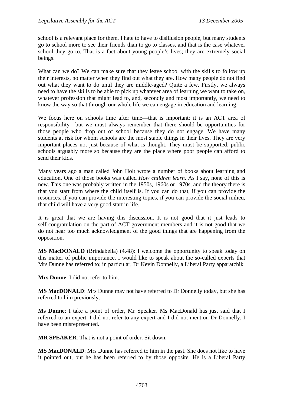school is a relevant place for them. I hate to have to disillusion people, but many students go to school more to see their friends than to go to classes, and that is the case whatever school they go to. That is a fact about young people's lives; they are extremely social beings.

What can we do? We can make sure that they leave school with the skills to follow up their interests, no matter when they find out what they are. How many people do not find out what they want to do until they are middle-aged? Quite a few. Firstly, we always need to have the skills to be able to pick up whatever area of learning we want to take on, whatever profession that might lead to, and, secondly and most importantly, we need to know the way so that through our whole life we can engage in education and learning.

We focus here on schools time after time—that is important; it is an ACT area of responsibility—but we must always remember that there should be opportunities for those people who drop out of school because they do not engage. We have many students at risk for whom schools are the most stable things in their lives. They are very important places not just because of what is thought. They must be supported, public schools arguably more so because they are the place where poor people can afford to send their kids.

Many years ago a man called John Holt wrote a number of books about learning and education. One of those books was called *How children learn*. As I say, none of this is new. This one was probably written in the 1950s, 1960s or 1970s, and the theory there is that you start from where the child itself is. If you can do that, if you can provide the resources, if you can provide the interesting topics, if you can provide the social milieu, that child will have a very good start in life.

It is great that we are having this discussion. It is not good that it just leads to self-congratulation on the part of ACT government members and it is not good that we do not hear too much acknowledgment of the good things that are happening from the opposition.

**MS MacDONALD** (Brindabella) (4.48): I welcome the opportunity to speak today on this matter of public importance. I would like to speak about the so-called experts that Mrs Dunne has referred to; in particular, Dr Kevin Donnelly, a Liberal Party apparatchik

**Mrs Dunne**: I did not refer to him.

**MS MacDONALD**: Mrs Dunne may not have referred to Dr Donnelly today, but she has referred to him previously.

**Ms Dunne**: I take a point of order, Mr Speaker. Ms MacDonald has just said that I referred to an expert. I did not refer to any expert and I did not mention Dr Donnelly. I have been misrepresented.

**MR SPEAKER**: That is not a point of order. Sit down.

**MS MacDONALD**: Mrs Dunne has referred to him in the past. She does not like to have it pointed out, but he has been referred to by those opposite. He is a Liberal Party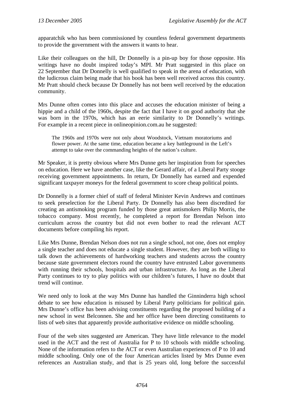apparatchik who has been commissioned by countless federal government departments to provide the government with the answers it wants to hear.

Like their colleagues on the hill, Dr Donnelly is a pin-up boy for those opposite. His writings have no doubt inspired today's MPI. Mr Pratt suggested in this place on 22 September that Dr Donnelly is well qualified to speak in the arena of education, with the ludicrous claim being made that his book has been well received across this country. Mr Pratt should check because Dr Donnelly has not been well received by the education community.

Mrs Dunne often comes into this place and accuses the education minister of being a hippie and a child of the 1960s, despite the fact that I have it on good authority that she was born in the 1970s, which has an eerie similarity to Dr Donnelly's writings. For example in a recent piece in onlineopinion.com.au he suggested:

The 1960s and 1970s were not only about Woodstock, Vietnam moratoriums and flower power. At the same time, education became a key battleground in the Left's attempt to take over the commanding heights of the nation's culture.

Mr Speaker, it is pretty obvious where Mrs Dunne gets her inspiration from for speeches on education. Here we have another case, like the Gerard affair, of a Liberal Party stooge receiving government appointments. In return, Dr Donnelly has earned and expended significant taxpayer moneys for the federal government to score cheap political points.

Dr Donnelly is a former chief of staff of federal Minister Kevin Andrews and continues to seek preselection for the Liberal Party. Dr Donnelly has also been discredited for creating an antismoking program funded by those great antismokers Philip Morris, the tobacco company. Most recently, he completed a report for Brendan Nelson into curriculum across the country but did not even bother to read the relevant ACT documents before compiling his report.

Like Mrs Dunne, Brendan Nelson does not run a single school, not one, does not employ a single teacher and does not educate a single student. However, they are both willing to talk down the achievements of hardworking teachers and students across the country because state government electors round the country have entrusted Labor governments with running their schools, hospitals and urban infrastructure. As long as the Liberal Party continues to try to play politics with our children's futures, I have no doubt that trend will continue.

We need only to look at the way Mrs Dunne has handled the Ginninderra high school debate to see how education is misused by Liberal Party politicians for political gain. Mrs Dunne's office has been advising constituents regarding the proposed building of a new school in west Belconnen. She and her office have been directing constituents to lists of web sites that apparently provide authoritative evidence on middle schooling.

Four of the web sites suggested are American. They have little relevance to the model used in the ACT and the rest of Australia for P to 10 schools with middle schooling. None of the information refers to the ACT or even Australian experiences of P to 10 and middle schooling. Only one of the four American articles listed by Mrs Dunne even references an Australian study, and that is 25 years old, long before the successful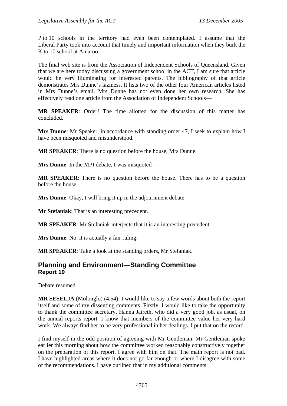P to 10 schools in the territory had even been contemplated. I assume that the Liberal Party took into account that timely and important information when they built the K to 10 school at Amaroo.

The final web site is from the Association of Independent Schools of Queensland. Given that we are here today discussing a government school in the ACT, I am sure that article would be very illuminating for interested parents. The bibliography of that article demonstrates Mrs Dunne's laziness. It lists two of the other four American articles listed in Mrs Dunne's email. Mrs Dunne has not even done her own research. She has effectively read one article from the Association of Independent Schools—

**MR SPEAKER**: Order! The time allotted for the discussion of this matter has concluded.

**Mrs Dunne**: Mr Speaker, in accordance with standing order 47, I seek to explain how I have been misquoted and misunderstood.

**MR SPEAKER**: There is no question before the house, Mrs Dunne.

**Mrs Dunne**: In the MPI debate, I was misquoted—

**MR SPEAKER**: There is no question before the house. There has to be a question before the house.

**Mrs Dunne**: Okay, I will bring it up in the adjournment debate.

**Mr Stefaniak**: That is an interesting precedent.

**MR SPEAKER**: Mr Stefaniak interjects that it is an interesting precedent.

**Mrs Dunne**: No, it is actually a fair ruling.

**MR SPEAKER**: Take a look at the standing orders, Mr Stefaniak.

## **Planning and Environment—Standing Committee Report 19**

Debate resumed.

**MR SESELJA** (Molonglo) (4.54): I would like to say a few words about both the report itself and some of my dissenting comments. Firstly, I would like to take the opportunity to thank the committee secretary, Hanna Jaireth, who did a very good job, as usual, on the annual reports report. I know that members of the committee value her very hard work. We always find her to be very professional in her dealings. I put that on the record.

I find myself in the odd position of agreeing with Mr Gentleman. Mr Gentleman spoke earlier this morning about how the committee worked reasonably constructively together on the preparation of this report. I agree with him on that. The main report is not bad. I have highlighted areas where it does not go far enough or where I disagree with some of the recommendations. I have outlined that in my additional comments.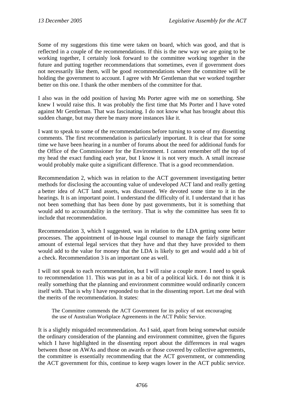Some of my suggestions this time were taken on board, which was good, and that is reflected in a couple of the recommendations. If this is the new way we are going to be working together, I certainly look forward to the committee working together in the future and putting together recommendations that sometimes, even if government does not necessarily like them, will be good recommendations where the committee will be holding the government to account. I agree with Mr Gentleman that we worked together better on this one. I thank the other members of the committee for that.

I also was in the odd position of having Ms Porter agree with me on something. She knew I would raise this. It was probably the first time that Ms Porter and I have voted against Mr Gentleman. That was fascinating. I do not know what has brought about this sudden change, but may there be many more instances like it.

I want to speak to some of the recommendations before turning to some of my dissenting comments. The first recommendation is particularly important. It is clear that for some time we have been hearing in a number of forums about the need for additional funds for the Office of the Commissioner for the Environment. I cannot remember off the top of my head the exact funding each year, but I know it is not very much. A small increase would probably make quite a significant difference. That is a good recommendation.

Recommendation 2, which was in relation to the ACT government investigating better methods for disclosing the accounting value of undeveloped ACT land and really getting a better idea of ACT land assets, was discussed. We devoted some time to it in the hearings. It is an important point. I understand the difficulty of it. I understand that it has not been something that has been done by past governments, but it is something that would add to accountability in the territory. That is why the committee has seen fit to include that recommendation.

Recommendation 3, which I suggested, was in relation to the LDA getting some better processes. The appointment of in-house legal counsel to manage the fairly significant amount of external legal services that they have and that they have provided to them would add to the value for money that the LDA is likely to get and would add a bit of a check. Recommendation 3 is an important one as well.

I will not speak to each recommendation, but I will raise a couple more. I need to speak to recommendation 11. This was put in as a bit of a political kick. I do not think it is really something that the planning and environment committee would ordinarily concern itself with. That is why I have responded to that in the dissenting report. Let me deal with the merits of the recommendation. It states:

The Committee commends the ACT Government for its policy of not encouraging the use of Australian Workplace Agreements in the ACT Public Service.

It is a slightly misguided recommendation. As I said, apart from being somewhat outside the ordinary consideration of the planning and environment committee, given the figures which I have highlighted in the dissenting report about the differences in real wages between those on AWAs and those on awards or those covered by collective agreements, the committee is essentially recommending that the ACT government, or commending the ACT government for this, continue to keep wages lower in the ACT public service.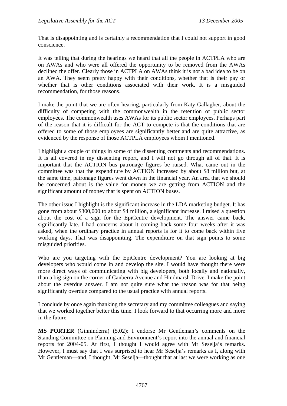That is disappointing and is certainly a recommendation that I could not support in good conscience.

It was telling that during the hearings we heard that all the people in ACTPLA who are on AWAs and who were all offered the opportunity to be removed from the AWAs declined the offer. Clearly those in ACTPLA on AWAs think it is not a bad idea to be on an AWA. They seem pretty happy with their conditions, whether that is their pay or whether that is other conditions associated with their work. It is a misguided recommendation, for those reasons.

I make the point that we are often hearing, particularly from Katy Gallagher, about the difficulty of competing with the commonwealth in the retention of public sector employees. The commonwealth uses AWAs for its public sector employees. Perhaps part of the reason that it is difficult for the ACT to compete is that the conditions that are offered to some of those employees are significantly better and are quite attractive, as evidenced by the response of those ACTPLA employees whom I mentioned.

I highlight a couple of things in some of the dissenting comments and recommendations. It is all covered in my dissenting report, and I will not go through all of that. It is important that the ACTION bus patronage figures be raised. What came out in the committee was that the expenditure by ACTION increased by about \$8 million but, at the same time, patronage figures went down in the financial year. An area that we should be concerned about is the value for money we are getting from ACTION and the significant amount of money that is spent on ACTION buses.

The other issue I highlight is the significant increase in the LDA marketing budget. It has gone from about \$300,000 to about \$4 million, a significant increase. I raised a question about the cost of a sign for the EpiCentre development. The answer came back, significantly late. I had concerns about it coming back some four weeks after it was asked, when the ordinary practice in annual reports is for it to come back within five working days. That was disappointing. The expenditure on that sign points to some misguided priorities.

Who are you targeting with the EpiCentre development? You are looking at big developers who would come in and develop the site. I would have thought there were more direct ways of communicating with big developers, both locally and nationally, than a big sign on the corner of Canberra Avenue and Hindmarsh Drive. I make the point about the overdue answer. I am not quite sure what the reason was for that being significantly overdue compared to the usual practice with annual reports.

I conclude by once again thanking the secretary and my committee colleagues and saying that we worked together better this time. I look forward to that occurring more and more in the future.

**MS PORTER** (Ginninderra) (5.02): I endorse Mr Gentleman's comments on the Standing Committee on Planning and Environment's report into the annual and financial reports for 2004-05. At first, I thought I would agree with Mr Seselja's remarks. However, I must say that I was surprised to hear Mr Seselja's remarks as I, along with Mr Gentleman—and, I thought, Mr Seselja—thought that at last we were working as one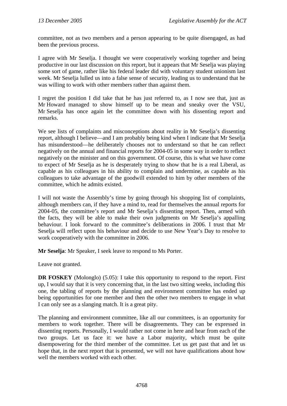committee, not as two members and a person appearing to be quite disengaged, as had been the previous process.

I agree with Mr Seselja. I thought we were cooperatively working together and being productive in our last discussion on this report, but it appears that Mr Seselja was playing some sort of game, rather like his federal leader did with voluntary student unionism last week. Mr Seselja lulled us into a false sense of security, leading us to understand that he was willing to work with other members rather than against them.

I regret the position I did take that he has just referred to, as I now see that, just as Mr Howard managed to show himself up to be mean and sneaky over the VSU, Mr Seselja has once again let the committee down with his dissenting report and remarks.

We see lists of complaints and misconceptions about reality in Mr Seselja's dissenting report, although I believe—and I am probably being kind when I indicate that Mr Seselja has misunderstood—he deliberately chooses not to understand so that he can reflect negatively on the annual and financial reports for 2004-05 in some way in order to reflect negatively on the minister and on this government. Of course, this is what we have come to expect of Mr Seselja as he is desperately trying to show that he is a real Liberal, as capable as his colleagues in his ability to complain and undermine, as capable as his colleagues to take advantage of the goodwill extended to him by other members of the committee, which he admits existed.

I will not waste the Assembly's time by going through his shopping list of complaints, although members can, if they have a mind to, read for themselves the annual reports for 2004-05, the committee's report and Mr Seselja's dissenting report. Then, armed with the facts, they will be able to make their own judgments on Mr Seselja's appalling behaviour. I look forward to the committee's deliberations in 2006. I trust that Mr Seselja will reflect upon his behaviour and decide to use New Year's Day to resolve to work cooperatively with the committee in 2006.

**Mr Seselja**: Mr Speaker, I seek leave to respond to Ms Porter.

Leave not granted.

**DR FOSKEY** (Molonglo) (5.05): I take this opportunity to respond to the report. First up, I would say that it is very concerning that, in the last two sitting weeks, including this one, the tabling of reports by the planning and environment committee has ended up being opportunities for one member and then the other two members to engage in what I can only see as a slanging match. It is a great pity.

The planning and environment committee, like all our committees, is an opportunity for members to work together. There will be disagreements. They can be expressed in dissenting reports. Personally, I would rather not come in here and hear from each of the two groups. Let us face it: we have a Labor majority, which must be quite disempowering for the third member of the committee. Let us get past that and let us hope that, in the next report that is presented, we will not have qualifications about how well the members worked with each other.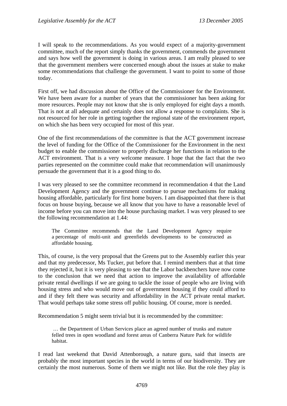I will speak to the recommendations. As you would expect of a majority-government committee, much of the report simply thanks the government, commends the government and says how well the government is doing in various areas. I am really pleased to see that the government members were concerned enough about the issues at stake to make some recommendations that challenge the government. I want to point to some of those today.

First off, we had discussion about the Office of the Commissioner for the Environment. We have been aware for a number of years that the commissioner has been asking for more resources. People may not know that she is only employed for eight days a month. That is not at all adequate and certainly does not allow a response to complaints. She is not resourced for her role in getting together the regional state of the environment report, on which she has been very occupied for most of this year.

One of the first recommendations of the committee is that the ACT government increase the level of funding for the Office of the Commissioner for the Environment in the next budget to enable the commissioner to properly discharge her functions in relation to the ACT environment. That is a very welcome measure. I hope that the fact that the two parties represented on the committee could make that recommendation will unanimously persuade the government that it is a good thing to do.

I was very pleased to see the committee recommend in recommendation 4 that the Land Development Agency and the government continue to pursue mechanisms for making housing affordable, particularly for first home buyers. I am disappointed that there is that focus on house buying, because we all know that you have to have a reasonable level of income before you can move into the house purchasing market. I was very pleased to see the following recommendation at 1.44:

The Committee recommends that the Land Development Agency require a percentage of multi-unit and greenfields developments to be constructed as affordable housing.

This, of course, is the very proposal that the Greens put to the Assembly earlier this year and that my predecessor, Ms Tucker, put before that. I remind members that at that time they rejected it, but it is very pleasing to see that the Labor backbenchers have now come to the conclusion that we need that action to improve the availability of affordable private rental dwellings if we are going to tackle the issue of people who are living with housing stress and who would move out of government housing if they could afford to and if they felt there was security and affordability in the ACT private rental market. That would perhaps take some stress off public housing. Of course, more is needed.

Recommendation 5 might seem trivial but it is recommended by the committee:

 … the Department of Urban Services place an agreed number of trunks and mature felled trees in open woodland and forest areas of Canberra Nature Park for wildlife habitat.

I read last weekend that David Attenborough, a nature guru, said that insects are probably the most important species in the world in terms of our biodiversity. They are certainly the most numerous. Some of them we might not like. But the role they play is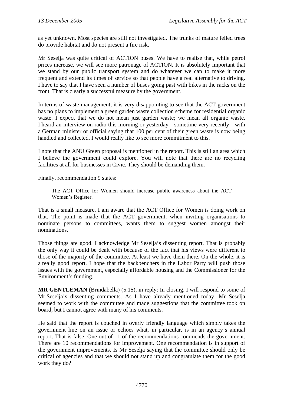as yet unknown. Most species are still not investigated. The trunks of mature felled trees do provide habitat and do not present a fire risk.

Mr Seselja was quite critical of ACTION buses. We have to realise that, while petrol prices increase, we will see more patronage of ACTION. It is absolutely important that we stand by our public transport system and do whatever we can to make it more frequent and extend its times of service so that people have a real alternative to driving. I have to say that I have seen a number of buses going past with bikes in the racks on the front. That is clearly a successful measure by the government.

In terms of waste management, it is very disappointing to see that the ACT government has no plans to implement a green garden waste collection scheme for residential organic waste. I expect that we do not mean just garden waste; we mean all organic waste. I heard an interview on radio this morning or yesterday—sometime very recently—with a German minister or official saying that 100 per cent of their green waste is now being handled and collected. I would really like to see more commitment to this.

I note that the ANU Green proposal is mentioned in the report. This is still an area which I believe the government could explore. You will note that there are no recycling facilities at all for businesses in Civic. They should be demanding them.

Finally, recommendation 9 states:

The ACT Office for Women should increase public awareness about the ACT Women's Register.

That is a small measure. I am aware that the ACT Office for Women is doing work on that. The point is made that the ACT government, when inviting organisations to nominate persons to committees, wants them to suggest women amongst their nominations.

Those things are good. I acknowledge Mr Seselja's dissenting report. That is probably the only way it could be dealt with because of the fact that his views were different to those of the majority of the committee. At least we have them there. On the whole, it is a really good report. I hope that the backbenchers in the Labor Party will push those issues with the government, especially affordable housing and the Commissioner for the Environment's funding.

**MR GENTLEMAN** (Brindabella) (5.15), in reply: In closing, I will respond to some of Mr Seselja's dissenting comments. As I have already mentioned today, Mr Seselja seemed to work with the committee and made suggestions that the committee took on board, but I cannot agree with many of his comments.

He said that the report is couched in overly friendly language which simply takes the government line on an issue or echoes what, in particular, is in an agency's annual report. That is false. One out of 11 of the recommendations commends the government. There are 10 recommendations for improvement. One recommendation is in support of the government improvements. Is Mr Seselja saying that the committee should only be critical of agencies and that we should not stand up and congratulate them for the good work they do?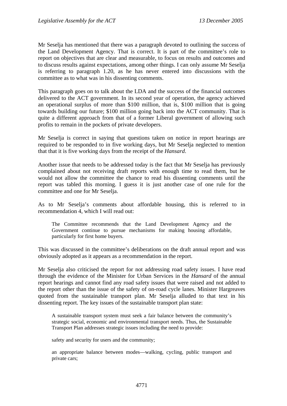Mr Seselja has mentioned that there was a paragraph devoted to outlining the success of the Land Development Agency. That is correct. It is part of the committee's role to report on objectives that are clear and measurable, to focus on results and outcomes and to discuss results against expectations, among other things. I can only assume Mr Seselja is referring to paragraph 1.20, as he has never entered into discussions with the committee as to what was in his dissenting comments.

This paragraph goes on to talk about the LDA and the success of the financial outcomes delivered to the ACT government. In its second year of operation, the agency achieved an operational surplus of more than \$100 million, that is, \$100 million that is going towards building our future; \$100 million going back into the ACT community. That is quite a different approach from that of a former Liberal government of allowing such profits to remain in the pockets of private developers.

Mr Seselja is correct in saying that questions taken on notice in report hearings are required to be responded to in five working days, but Mr Seselja neglected to mention that that it is five working days from the receipt of the *Hansard*.

Another issue that needs to be addressed today is the fact that Mr Seselja has previously complained about not receiving draft reports with enough time to read them, but he would not allow the committee the chance to read his dissenting comments until the report was tabled this morning. I guess it is just another case of one rule for the committee and one for Mr Seselja.

As to Mr Seselja's comments about affordable housing, this is referred to in recommendation 4, which I will read out:

The Committee recommends that the Land Development Agency and the Government continue to pursue mechanisms for making housing affordable, particularly for first home buyers.

This was discussed in the committee's deliberations on the draft annual report and was obviously adopted as it appears as a recommendation in the report.

Mr Seselja also criticised the report for not addressing road safety issues. I have read through the evidence of the Minister for Urban Services in the *Hansard* of the annual report hearings and cannot find any road safety issues that were raised and not added to the report other than the issue of the safety of on-road cycle lanes. Minister Hargreaves quoted from the sustainable transport plan. Mr Seselja alluded to that text in his dissenting report. The key issues of the sustainable transport plan state:

A sustainable transport system must seek a fair balance between the community's strategic social, economic and environmental transport needs. Thus, the Sustainable Transport Plan addresses strategic issues including the need to provide:

safety and security for users and the community;

an appropriate balance between modes—walking, cycling, public transport and private cars;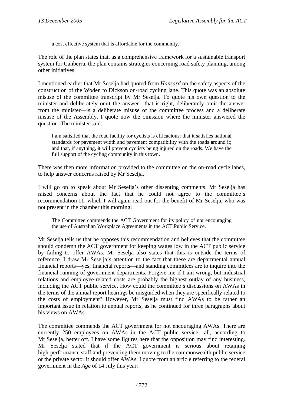a cost effective system that is affordable for the community.

The role of the plan states that, as a comprehensive framework for a sustainable transport system for Canberra, the plan contains strategies concerning road safety planning, among other initiatives.

I mentioned earlier that Mr Seselja had quoted from *Hansard* on the safety aspects of the construction of the Woden to Dickson on-road cycling lane. This quote was an absolute misuse of the committee transcript by Mr Seselja. To quote his own question to the minister and deliberately omit the answer—that is right, deliberately omit the answer from the minister—is a deliberate misuse of the committee process and a deliberate misuse of the Assembly. I quote now the omission where the minister answered the question. The minister said:

I am satisfied that the road facility for cyclists is efficacious; that it satisfies national standards for pavement width and pavement compatibility with the roads around it; and that, if anything, it will prevent cyclists being injured on the roads. We have the full support of the cycling community in this town.

There was then more information provided to the committee on the on-road cycle lanes, to help answer concerns raised by Mr Seselja.

I will go on to speak about Mr Seselja's other dissenting comments. Mr Seselja has raised concerns about the fact that he could not agree to the committee's recommendation 11, which I will again read out for the benefit of Mr Seselja, who was not present in the chamber this morning:

The Committee commends the ACT Government for its policy of not encouraging the use of Australian Workplace Agreements in the ACT Public Service.

Mr Seselja tells us that he opposes this recommendation and believes that the committee should condemn the ACT government for keeping wages low in the ACT public service by failing to offer AWAs. Mr Seselja also states that this is outside the terms of reference. I draw Mr Seselja's attention to the fact that these are departmental annual financial reports—yes, financial reports—and standing committees are to inquire into the financial running of government departments. Forgive me if I am wrong, but industrial relations and employee-related costs are probably the highest outlay of any business, including the ACT public service. How could the committee's discussions on AWAs in the terms of the annual report hearings be misguided when they are specifically related to the costs of employment? However, Mr Seselja must find AWAs to be rather an important issue in relation to annual reports, as he continued for three paragraphs about his views on AWAs.

The committee commends the ACT government for not encouraging AWAs. There are currently 250 employees on AWAs in the ACT public service—all, according to Mr Seselja, better off. I have some figures here that the opposition may find interesting. Mr Seselja stated that if the ACT government is serious about retaining high-performance staff and preventing them moving to the commonwealth public service or the private sector it should offer AWAs. I quote from an article referring to the federal government in the *Age* of 14 July this year: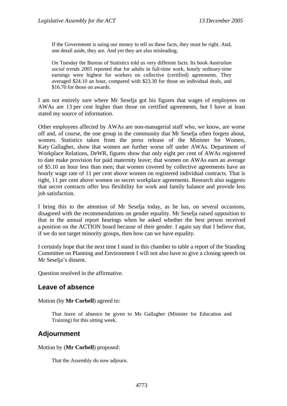If the Government is using our money to tell us these facts, they must be right. And, one detail aside, they are. And yet they are also misleading.

On Tuesday the Bureau of Statistics told us very different facts. Its book *Australian social trends 2005* reported that for adults in full-time work, hourly ordinary-time earnings were highest for workers on collective (certified) agreements. They averaged \$24.10 an hour, compared with \$23.30 for those on individual deals, and \$16.70 for those on awards.

I am not entirely sure where Mr Seselja got his figures that wages of employees on AWAs are 13 per cent higher than those on certified agreements, but I have at least stated my source of information.

Other employees affected by AWAs are non-managerial staff who, we know, are worse off and, of course, the one group in the community that Mr Seselja often forgets about, women. Statistics taken from the press release of the Minister for Women, Katy Gallagher, show that women are further worse off under AWAs. Department of Workplace Relations, DeWR, figures show that only eight per cent of AWAs registered to date make provision for paid maternity leave; that women on AWAs earn an average of \$5.10 an hour less than men; that women covered by collective agreements have an hourly wage rate of 11 per cent above women on registered individual contracts. That is right, 11 per cent above women on secret workplace agreements. Research also suggests that secret contracts offer less flexibility for work and family balance and provide less job satisfaction.

I bring this to the attention of Mr Seselja today, as he has, on several occasions, disagreed with the recommendations on gender equality. Mr Seselja raised opposition to that in the annual report hearings when he asked whether the best person received a position on the ACTION board because of their gender. I again say that I believe that, if we do not target minority groups, then how can we have equality.

I certainly hope that the next time I stand in this chamber to table a report of the Standing Committee on Planning and Environment I will not also have to give a closing speech on Mr Seselja's dissent.

Question resolved in the affirmative.

## **Leave of absence**

Motion (by **Mr Corbell**) agreed to:

That leave of absence be given to Ms Gallagher (Minister for Education and Training) for this sitting week.

## **Adjournment**

Motion by (**Mr Corbell**) proposed:

That the Assembly do now adjourn.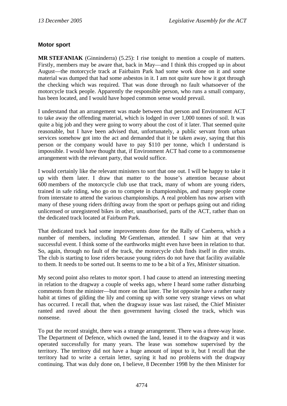## **Motor sport**

**MR STEFANIAK** (Ginninderra) (5.25): I rise tonight to mention a couple of matters. Firstly, members may be aware that, back in May—and I think this cropped up in about August—the motorcycle track at Fairbairn Park had some work done on it and some material was dumped that had some asbestos in it. I am not quite sure how it got through the checking which was required. That was done through no fault whatsoever of the motorcycle track people. Apparently the responsible person, who runs a small company, has been located, and I would have hoped common sense would prevail.

I understand that an arrangement was made between that person and Environment ACT to take away the offending material, which is lodged in over 1,000 tonnes of soil. It was quite a big job and they were going to worry about the cost of it later. That seemed quite reasonable, but I have been advised that, unfortunately, a public servant from urban services somehow got into the act and demanded that it be taken away, saying that this person or the company would have to pay \$110 per tonne, which I understand is impossible. I would have thought that, if Environment ACT had come to a commonsense arrangement with the relevant party, that would suffice.

I would certainly like the relevant ministers to sort that one out. I will be happy to take it up with them later. I draw that matter to the house's attention because about 600 members of the motorcycle club use that track, many of whom are young riders, trained in safe riding, who go on to compete in championships, and many people come from interstate to attend the various championships. A real problem has now arisen with many of these young riders drifting away from the sport or perhaps going out and riding unlicensed or unregistered bikes in other, unauthorised, parts of the ACT, rather than on the dedicated track located at Fairburn Park.

That dedicated track had some improvements done for the Rally of Canberra, which a number of members, including Mr Gentleman, attended. I saw him at that very successful event. I think some of the earthworks might even have been in relation to that. So, again, through no fault of the track, the motorcycle club finds itself in dire straits. The club is starting to lose riders because young riders do not have that facility available to them. It needs to be sorted out. It seems to me to be a bit of a *Yes, Minister* situation.

My second point also relates to motor sport. I had cause to attend an interesting meeting in relation to the dragway a couple of weeks ago, where I heard some rather disturbing comments from the minister—but more on that later. The lot opposite have a rather nasty habit at times of gilding the lily and coming up with some very strange views on what has occurred. I recall that, when the dragway issue was last raised, the Chief Minister ranted and raved about the then government having closed the track, which was nonsense.

To put the record straight, there was a strange arrangement. There was a three-way lease. The Department of Defence, which owned the land, leased it to the dragway and it was operated successfully for many years. The lease was somehow supervised by the territory. The territory did not have a huge amount of input to it, but I recall that the territory had to write a certain letter, saying it had no problems with the dragway continuing. That was duly done on, I believe, 8 December 1998 by the then Minister for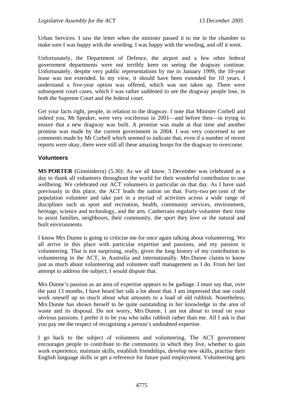Urban Services. I saw the letter when the minister passed it to me in the chamber to make sure I was happy with the wording. I was happy with the wording, and off it went.

Unfortunately, the Department of Defence, the airport and a few other federal government departments were not terribly keen on seeing the dragway continue. Unfortunately, despite very public representations by me in January 1999, the 10-year lease was not extended. In my view, it should have been extended for 10 years. I understand a five-year option was offered, which was not taken up. There were subsequent court cases, which I was rather saddened to see the dragway people lose, in both the Supreme Court and the federal court.

Get your facts right, people, in relation to the dragway. I note that Minister Corbell and indeed you, Mr Speaker, were very vociferous in 2001—and before then—in trying to ensure that a new dragway was built. A promise was made at that time and another promise was made by the current government in 2004. I was very concerned to see comments made by Mr Corbell which seemed to indicate that, even if a number of recent reports were okay, there were still all these amazing hoops for the dragway to overcome.

#### **Volunteers**

**MS PORTER** (Ginninderra) (5.30): As we all know, 5 December was celebrated as a day to thank all volunteers throughout the world for their wonderful contribution to our wellbeing. We celebrated our ACT volunteers in particular on that day. As I have said previously in this place, the ACT leads the nation on that. Forty-two per cent of the population volunteer and take part in a myriad of activities across a wide range of disciplines such as sport and recreation, health, community services, environment, heritage, science and technology, and the arts. Canberrans regularly volunteer their time to assist families, neighbours, their community, the sport they love or the natural and built environments.

I know Mrs Dunne is going to criticise me for once again talking about volunteering. We all arrive in this place with particular expertise and passions, and my passion is volunteering. That is not surprising, really, given the long history of my contribution to volunteering in the ACT, in Australia and internationally. Mrs Dunne claims to know just as much about volunteering and volunteer staff management as I do. From her last attempt to address the subject, I would dispute that.

Mrs Dunne's passion as an area of expertise appears to be garbage. I must say that, over the past 13 months, I have heard her talk a lot about that. I am impressed that one could work oneself up so much about what amounts to a load of old rubbish. Nonetheless, Mrs Dunne has shown herself to be quite outstanding in her knowledge in the area of waste and its disposal. Do not worry, Mrs Dunne, I am not about to tread on your obvious passions. I prefer it to be you who talks rubbish rather than me. All I ask is that you pay me the respect of recognising a person's undoubted expertise.

I go back to the subject of volunteers and volunteering. The ACT government encourages people to contribute to the community in which they live, whether to gain work experience, maintain skills, establish friendships, develop new skills, practise their English language skills or get a reference for future paid employment. Volunteering gets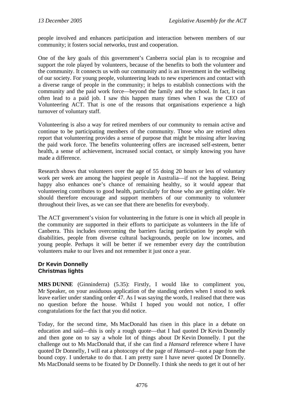people involved and enhances participation and interaction between members of our community; it fosters social networks, trust and cooperation.

One of the key goals of this government's Canberra social plan is to recognise and support the role played by volunteers, because of the benefits to both the volunteer and the community. It connects us with our community and is an investment in the wellbeing of our society. For young people, volunteering leads to new experiences and contact with a diverse range of people in the community; it helps to establish connections with the community and the paid work force—beyond the family and the school. In fact, it can often lead to a paid job. I saw this happen many times when I was the CEO of Volunteering ACT. That is one of the reasons that organisations experience a high turnover of voluntary staff.

Volunteering is also a way for retired members of our community to remain active and continue to be participating members of the community. Those who are retired often report that volunteering provides a sense of purpose that might be missing after leaving the paid work force. The benefits volunteering offers are increased self-esteem, better health, a sense of achievement, increased social contact, or simply knowing you have made a difference.

Research shows that volunteers over the age of 55 doing 20 hours or less of voluntary work per week are among the happiest people in Australia—if not the happiest. Being happy also enhances one's chance of remaining healthy, so it would appear that volunteering contributes to good health, particularly for those who are getting older. We should therefore encourage and support members of our community to volunteer throughout their lives, as we can see that there are benefits for everybody.

The ACT government's vision for volunteering in the future is one in which all people in the community are supported in their efforts to participate as volunteers in the life of Canberra. This includes overcoming the barriers facing participation by people with disabilities, people from diverse cultural backgrounds, people on low incomes, and young people. Perhaps it will be better if we remember every day the contribution volunteers make to our lives and not remember it just once a year.

#### **Dr Kevin Donnelly Christmas lights**

**MRS DUNNE** (Ginninderra) (5.35): Firstly, I would like to compliment you, Mr Speaker, on your assiduous application of the standing orders when I stood to seek leave earlier under standing order 47. As I was saying the words, I realised that there was no question before the house. Whilst I hoped you would not notice, I offer congratulations for the fact that you did notice.

Today, for the second time, Ms MacDonald has risen in this place in a debate on education and said—this is only a rough quote—that I had quoted Dr Kevin Donnelly and then gone on to say a whole lot of things about Dr Kevin Donnelly. I put the challenge out to Ms MacDonald that, if she can find a *Hansard* reference where I have quoted Dr Donnelly, I will eat a photocopy of the page of *Hansard*—not a page from the bound copy. I undertake to do that. I am pretty sure I have never quoted Dr Donnelly. Ms MacDonald seems to be fixated by Dr Donnelly. I think she needs to get it out of her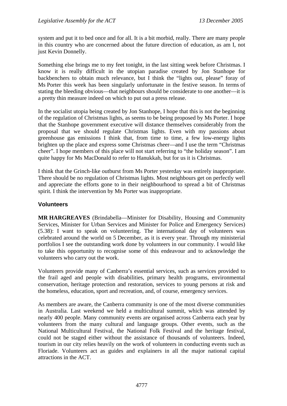system and put it to bed once and for all. It is a bit morbid, really. There are many people in this country who are concerned about the future direction of education, as am I, not just Kevin Donnelly.

Something else brings me to my feet tonight, in the last sitting week before Christmas. I know it is really difficult in the utopian paradise created by Jon Stanhope for backbenchers to obtain much relevance, but I think the "lights out, please" foray of Ms Porter this week has been singularly unfortunate in the festive season. In terms of stating the bleeding obvious—that neighbours should be considerate to one another—it is a pretty thin measure indeed on which to put out a press release.

In the socialist utopia being created by Jon Stanhope, I hope that this is not the beginning of the regulation of Christmas lights, as seems to be being proposed by Ms Porter. I hope that the Stanhope government executive will distance themselves considerably from the proposal that we should regulate Christmas lights. Even with my passions about greenhouse gas emissions I think that, from time to time, a few low-energy lights brighten up the place and express some Christmas cheer—and I use the term "Christmas cheer". I hope members of this place will not start referring to "the holiday season". I am quite happy for Ms MacDonald to refer to Hanukkah, but for us it is Christmas.

I think that the Grinch-like outburst from Ms Porter yesterday was entirely inappropriate. There should be no regulation of Christmas lights. Most neighbours get on perfectly well and appreciate the efforts gone to in their neighbourhood to spread a bit of Christmas spirit. I think the intervention by Ms Porter was inappropriate.

### **Volunteers**

**MR HARGREAVES** (Brindabella—Minister for Disability, Housing and Community Services, Minister for Urban Services and Minister for Police and Emergency Services) (5.38): I want to speak on volunteering. The international day of volunteers was celebrated around the world on 5 December, as it is every year. Through my ministerial portfolios I see the outstanding work done by volunteers in our community. I would like to take this opportunity to recognise some of this endeavour and to acknowledge the volunteers who carry out the work.

Volunteers provide many of Canberra's essential services, such as services provided to the frail aged and people with disabilities, primary health programs, environmental conservation, heritage protection and restoration, services to young persons at risk and the homeless, education, sport and recreation, and, of course, emergency services.

As members are aware, the Canberra community is one of the most diverse communities in Australia. Last weekend we held a multicultural summit, which was attended by nearly 400 people. Many community events are organised across Canberra each year by volunteers from the many cultural and language groups. Other events, such as the National Multicultural Festival, the National Folk Festival and the heritage festival, could not be staged either without the assistance of thousands of volunteers. Indeed, tourism in our city relies heavily on the work of volunteers in conducting events such as Floriade. Volunteers act as guides and explainers in all the major national capital attractions in the ACT.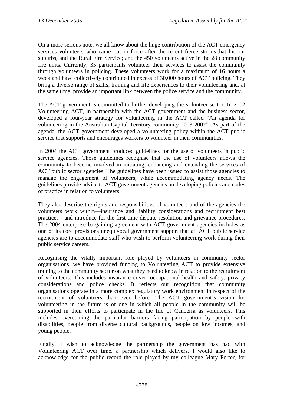On a more serious note, we all know about the huge contribution of the ACT emergency services volunteers who came out in force after the recent fierce storms that hit our suburbs; and the Rural Fire Service; and the 450 volunteers active in the 28 community fire units. Currently, 35 participants volunteer their services to assist the community through volunteers in policing. These volunteers work for a maximum of 16 hours a week and have collectively contributed in excess of 30,000 hours of ACT policing. They bring a diverse range of skills, training and life experiences to their volunteering and, at the same time, provide an important link between the police service and the community.

The ACT government is committed to further developing the volunteer sector. In 2002 Volunteering ACT, in partnership with the ACT government and the business sector, developed a four-year strategy for volunteering in the ACT called "An agenda for volunteering in the Australian Capital Territory community 2003-2007". As part of the agenda, the ACT government developed a volunteering policy within the ACT public service that supports and encourages workers to volunteer in their communities.

In 2004 the ACT government produced guidelines for the use of volunteers in public service agencies. Those guidelines recognise that the use of volunteers allows the community to become involved in initiating, enhancing and extending the services of ACT public sector agencies. The guidelines have been issued to assist those agencies to manage the engagement of volunteers, while accommodating agency needs. The guidelines provide advice to ACT government agencies on developing policies and codes of practice in relation to volunteers.

They also describe the rights and responsibilities of volunteers and of the agencies the volunteers work within—insurance and liability considerations and recruitment best practices—and introduce for the first time dispute resolution and grievance procedures. The 2004 enterprise bargaining agreement with ACT government agencies includes as one of its core provisions unequivocal government support that all ACT public service agencies are to accommodate staff who wish to perform volunteering work during their public service careers.

Recognising the vitally important role played by volunteers in community sector organisations, we have provided funding to Volunteering ACT to provide extensive training to the community sector on what they need to know in relation to the recruitment of volunteers. This includes insurance cover, occupational health and safety, privacy considerations and police checks. It reflects our recognition that community organisations operate in a more complex regulatory work environment in respect of the recruitment of volunteers than ever before. The ACT government's vision for volunteering in the future is of one in which all people in the community will be supported in their efforts to participate in the life of Canberra as volunteers. This includes overcoming the particular barriers facing participation by people with disabilities, people from diverse cultural backgrounds, people on low incomes, and young people.

Finally, I wish to acknowledge the partnership the government has had with Volunteering ACT over time, a partnership which delivers. I would also like to acknowledge for the public record the role played by my colleague Mary Porter, for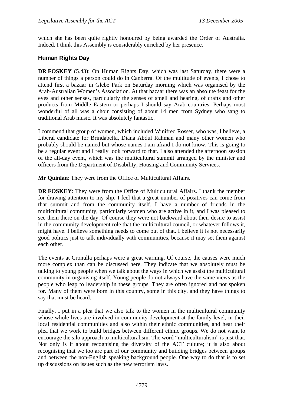which she has been quite rightly honoured by being awarded the Order of Australia. Indeed, I think this Assembly is considerably enriched by her presence.

## **Human Rights Day**

**DR FOSKEY** (5.43): On Human Rights Day, which was last Saturday, there were a number of things a person could do in Canberra. Of the multitude of events, I chose to attend first a bazaar in Glebe Park on Saturday morning which was organised by the Arab-Australian Women's Association. At that bazaar there was an absolute feast for the eyes and other senses, particularly the senses of smell and hearing, of crafts and other products from Middle Eastern or perhaps I should say Arab countries. Perhaps most wonderful of all was a choir consisting of about 14 men from Sydney who sang to traditional Arab music. It was absolutely fantastic.

I commend that group of women, which included Winifred Rosser, who was, I believe, a Liberal candidate for Brindabella, Diana Abdul Rahman and many other women who probably should be named but whose names I am afraid I do not know. This is going to be a regular event and I really look forward to that. I also attended the afternoon session of the all-day event, which was the multicultural summit arranged by the minister and officers from the Department of Disability, Housing and Community Services.

**Mr Quinlan**: They were from the Office of Multicultural Affairs.

**DR FOSKEY**: They were from the Office of Multicultural Affairs. I thank the member for drawing attention to my slip. I feel that a great number of positives can come from that summit and from the community itself. I have a number of friends in the multicultural community, particularly women who are active in it, and I was pleased to see them there on the day. Of course they were not backward about their desire to assist in the community development role that the multicultural council, or whatever follows it, might have. I believe something needs to come out of that. I believe it is not necessarily good politics just to talk individually with communities, because it may set them against each other.

The events at Cronulla perhaps were a great warning. Of course, the causes were much more complex than can be discussed here. They indicate that we absolutely must be talking to young people when we talk about the ways in which we assist the multicultural community in organising itself. Young people do not always have the same views as the people who leap to leadership in these groups. They are often ignored and not spoken for. Many of them were born in this country, some in this city, and they have things to say that must be heard.

Finally, I put in a plea that we also talk to the women in the multicultural community whose whole lives are involved in community development at the family level, in their local residential communities and also within their ethnic communities, and hear their plea that we work to build bridges between different ethnic groups. We do not want to encourage the silo approach to multiculturalism. The word "multiculturalism" is just that. Not only is it about recognising the diversity of the ACT culture; it is also about recognising that we too are part of our community and building bridges between groups and between the non-English speaking background people. One way to do that is to set up discussions on issues such as the new terrorism laws.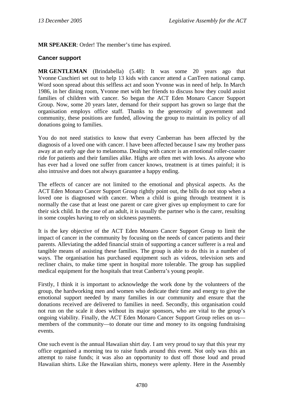**MR SPEAKER**: Order! The member's time has expired.

### **Cancer support**

**MR GENTLEMAN** (Brindabella) (5.48): It was some 20 years ago that Yvonne Cuschieri set out to help 13 kids with cancer attend a CanTeen national camp. Word soon spread about this selfless act and soon Yvonne was in need of help. In March 1986, in her dining room, Yvonne met with her friends to discuss how they could assist families of children with cancer. So began the ACT Eden Monaro Cancer Support Group. Now, some 20 years later, demand for their support has grown so large that the organisation employs office staff. Thanks to the generosity of government and community, these positions are funded, allowing the group to maintain its policy of all donations going to families.

You do not need statistics to know that every Canberran has been affected by the diagnosis of a loved one with cancer. I have been affected because I saw my brother pass away at an early age due to melanoma. Dealing with cancer is an emotional roller-coaster ride for patients and their families alike. Highs are often met with lows. As anyone who has ever had a loved one suffer from cancer knows, treatment is at times painful; it is also intrusive and does not always guarantee a happy ending.

The effects of cancer are not limited to the emotional and physical aspects. As the ACT Eden Monaro Cancer Support Group rightly point out, the bills do not stop when a loved one is diagnosed with cancer. When a child is going through treatment it is normally the case that at least one parent or care giver gives up employment to care for their sick child. In the case of an adult, it is usually the partner who is the carer, resulting in some couples having to rely on sickness payments.

It is the key objective of the ACT Eden Monaro Cancer Support Group to limit the impact of cancer in the community by focusing on the needs of cancer patients and their parents. Alleviating the added financial strain of supporting a cancer sufferer is a real and tangible means of assisting these families. The group is able to do this in a number of ways. The organisation has purchased equipment such as videos, television sets and recliner chairs, to make time spent in hospital more tolerable. The group has supplied medical equipment for the hospitals that treat Canberra's young people.

Firstly, I think it is important to acknowledge the work done by the volunteers of the group, the hardworking men and women who dedicate their time and energy to give the emotional support needed by many families in our community and ensure that the donations received are delivered to families in need. Secondly, this organisation could not run on the scale it does without its major sponsors, who are vital to the group's ongoing viability. Finally, the ACT Eden Monaro Cancer Support Group relies on us members of the community—to donate our time and money to its ongoing fundraising events.

One such event is the annual Hawaiian shirt day. I am very proud to say that this year my office organised a morning tea to raise funds around this event. Not only was this an attempt to raise funds; it was also an opportunity to dust off those loud and proud Hawaiian shirts. Like the Hawaiian shirts, moneys were aplenty. Here in the Assembly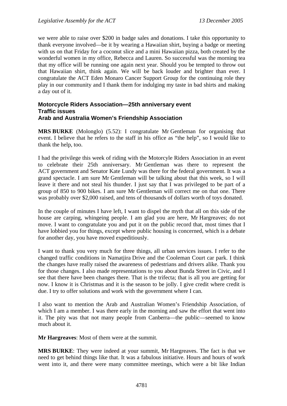we were able to raise over \$200 in badge sales and donations. I take this opportunity to thank everyone involved—be it by wearing a Hawaiian shirt, buying a badge or meeting with us on that Friday for a coconut slice and a mini Hawaiian pizza, both created by the wonderful women in my office, Rebecca and Lauren. So successful was the morning tea that my office will be running one again next year. Should you be tempted to throw out that Hawaiian shirt, think again. We will be back louder and brighter than ever. I congratulate the ACT Eden Monaro Cancer Support Group for the continuing role they play in our community and I thank them for indulging my taste in bad shirts and making a day out of it.

#### **Motorcycle Riders Association—25th anniversary event Traffic issues Arab and Australia Women's Friendship Association**

**MRS BURKE** (Molonglo) (5.52): I congratulate Mr Gentleman for organising that event. I believe that he refers to the staff in his office as "the help", so I would like to thank the help, too.

I had the privilege this week of riding with the Motorcyle Riders Association in an event to celebrate their 25th anniversary. Mr Gentleman was there to represent the ACT government and Senator Kate Lundy was there for the federal government. It was a grand spectacle. I am sure Mr Gentleman will be talking about that this week, so I will leave it there and not steal his thunder. I just say that I was privileged to be part of a group of 850 to 900 bikes. I am sure Mr Gentleman will correct me on that one. There was probably over \$2,000 raised, and tens of thousands of dollars worth of toys donated.

In the couple of minutes I have left, I want to dispel the myth that all on this side of the house are carping, whingeing people. I am glad you are here, Mr Hargreaves; do not move. I want to congratulate you and put it on the public record that, most times that I have lobbied you for things, except where public housing is concerned, which is a debate for another day, you have moved expeditiously.

I want to thank you very much for three things, all urban services issues. I refer to the changed traffic conditions in Namatjira Drive and the Cooleman Court car park. I think the changes have really raised the awareness of pedestrians and drivers alike. Thank you for those changes. I also made representations to you about Bunda Street in Civic, and I see that there have been changes there. That is the trifecta; that is all you are getting for now. I know it is Christmas and it is the season to be jolly. I give credit where credit is due. I try to offer solutions and work with the government where I can.

I also want to mention the Arab and Australian Women's Friendship Association, of which I am a member. I was there early in the morning and saw the effort that went into it. The pity was that not many people from Canberra—the public—seemed to know much about it.

**Mr Hargreaves**: Most of them were at the summit.

**MRS BURKE**: They were indeed at your summit, Mr Hargreaves. The fact is that we need to get behind things like that. It was a fabulous initiative. Hours and hours of work went into it, and there were many committee meetings, which were a bit like Indian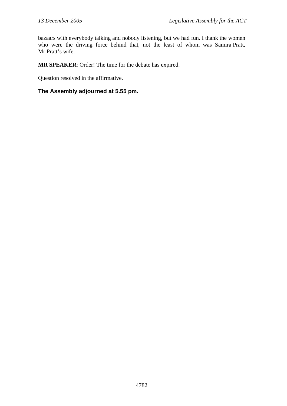bazaars with everybody talking and nobody listening, but we had fun. I thank the women who were the driving force behind that, not the least of whom was Samira Pratt, Mr Pratt's wife.

**MR SPEAKER**: Order! The time for the debate has expired.

Question resolved in the affirmative.

## **The Assembly adjourned at 5.55 pm.**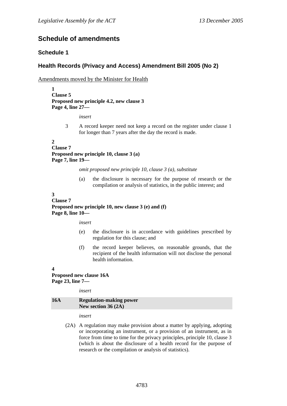## **Schedule of amendments**

### **Schedule 1**

### **Health Records (Privacy and Access) Amendment Bill 2005 (No 2)**

Amendments moved by the Minister for Health

**1 Clause 5 Proposed new principle 4.2, new clause 3 Page 4, line 27—** 

*insert* 

3 A record keeper need not keep a record on the register under clause 1 for longer than 7 years after the day the record is made.

#### **2**

**Clause 7 Proposed new principle 10, clause 3 (a) Page 7, line 19—** 

#### *omit proposed new principle 10, clause 3 (a), substitute*

(a) the disclosure is necessary for the purpose of research or the compilation or analysis of statistics, in the public interest; and

#### **3**

#### **Clause 7 Proposed new principle 10, new clause 3 (e) and (f) Page 8, line 10—**

*insert* 

- (e) the disclosure is in accordance with guidelines prescribed by regulation for this clause; and
- (f) the record keeper believes, on reasonable grounds, that the recipient of the health information will not disclose the personal health information.

#### **4**

### **Proposed new clause 16A Page 23, line 7—**

*insert* 

### **16A Regulation-making power New section 36 (2A)**

*insert* 

(2A) A regulation may make provision about a matter by applying, adopting or incorporating an instrument, or a provision of an instrument, as in force from time to time for the privacy principles, principle 10, clause 3 (which is about the disclosure of a health record for the purpose of research or the compilation or analysis of statistics).